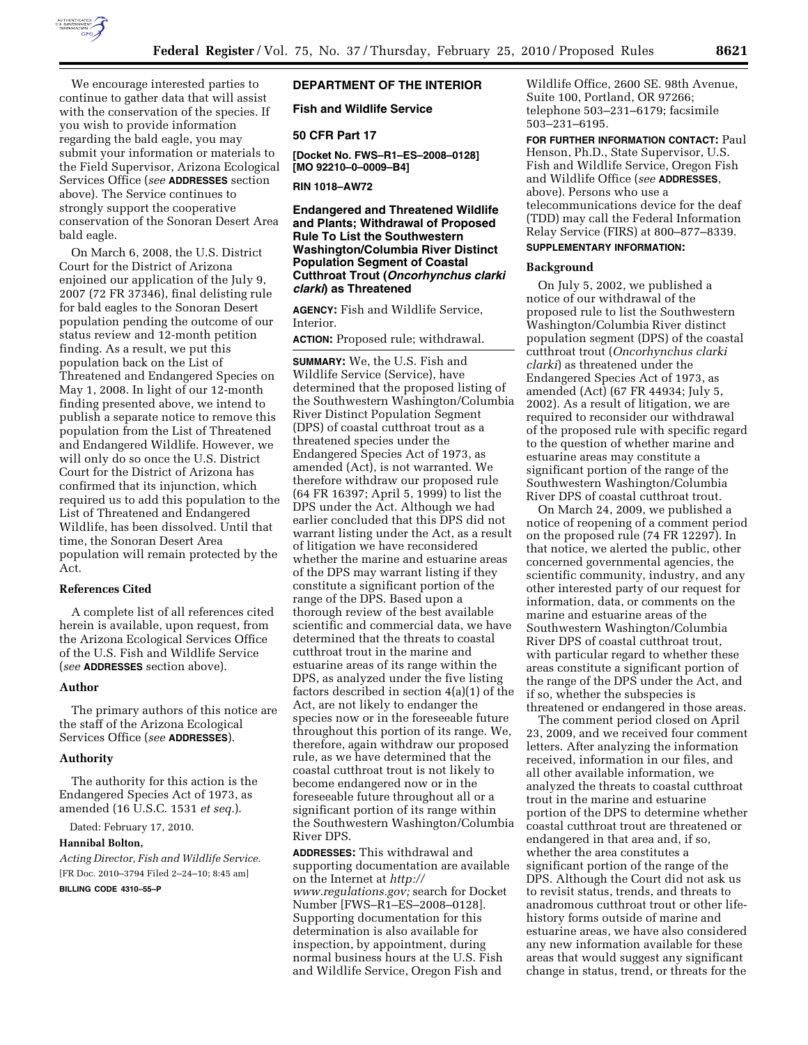

We encourage interested parties to continue to gather data that will assist with the conservation of the species. If you wish to provide information regarding the bald eagle, you may submit your information or materials to the Field Supervisor, Arizona Ecological Services Office (*see* **ADDRESSES** section above). The Service continues to strongly support the cooperative conservation of the Sonoran Desert Area bald eagle.

On March 6, 2008, the U.S. District Court for the District of Arizona enjoined our application of the July 9, 2007 (72 FR 37346), final delisting rule for bald eagles to the Sonoran Desert population pending the outcome of our status review and 12-month petition finding. As a result, we put this population back on the List of Threatened and Endangered Species on May 1, 2008. In light of our 12-month finding presented above, we intend to publish a separate notice to remove this population from the List of Threatened and Endangered Wildlife. However, we will only do so once the U.S. District Court for the District of Arizona has confirmed that its injunction, which required us to add this population to the List of Threatened and Endangered Wildlife, has been dissolved. Until that time, the Sonoran Desert Area population will remain protected by the Act.

### **References Cited**

A complete list of all references cited herein is available, upon request, from the Arizona Ecological Services Office of the U.S. Fish and Wildlife Service (*see* **ADDRESSES** section above).

### **Author**

The primary authors of this notice are the staff of the Arizona Ecological Services Office (*see* **ADDRESSES**).

## **Authority**

The authority for this action is the Endangered Species Act of 1973, as amended (16 U.S.C. 1531 *et seq.*).

Dated: February 17, 2010.

### **Hannibal Bolton,**

*Acting Director, Fish and Wildlife Service.*  [FR Doc. 2010–3794 Filed 2–24–10; 8:45 am]

**BILLING CODE 4310–55–P** 

## **DEPARTMENT OF THE INTERIOR**

**Fish and Wildlife Service** 

#### **50 CFR Part 17**

**[Docket No. FWS–R1–ES–2008–0128] [MO 92210–0–0009–B4]** 

**RIN 1018–AW72** 

**Endangered and Threatened Wildlife and Plants; Withdrawal of Proposed Rule To List the Southwestern Washington/Columbia River Distinct Population Segment of Coastal Cutthroat Trout (***Oncorhynchus clarki clarki***) as Threatened** 

**AGENCY:** Fish and Wildlife Service, Interior.

**ACTION:** Proposed rule; withdrawal.

**SUMMARY:** We, the U.S. Fish and Wildlife Service (Service), have determined that the proposed listing of the Southwestern Washington/Columbia River Distinct Population Segment (DPS) of coastal cutthroat trout as a threatened species under the Endangered Species Act of 1973, as amended (Act), is not warranted. We therefore withdraw our proposed rule (64 FR 16397; April 5, 1999) to list the DPS under the Act. Although we had earlier concluded that this DPS did not warrant listing under the Act, as a result of litigation we have reconsidered whether the marine and estuarine areas of the DPS may warrant listing if they constitute a significant portion of the range of the DPS. Based upon a thorough review of the best available scientific and commercial data, we have determined that the threats to coastal cutthroat trout in the marine and estuarine areas of its range within the DPS, as analyzed under the five listing factors described in section 4(a)(1) of the Act, are not likely to endanger the species now or in the foreseeable future throughout this portion of its range. We, therefore, again withdraw our proposed rule, as we have determined that the coastal cutthroat trout is not likely to become endangered now or in the foreseeable future throughout all or a significant portion of its range within the Southwestern Washington/Columbia River DPS.

**ADDRESSES:** This withdrawal and supporting documentation are available on the Internet at *http:// www.regulations.gov;* search for Docket Number [FWS–R1–ES–2008–0128]. Supporting documentation for this determination is also available for inspection, by appointment, during normal business hours at the U.S. Fish and Wildlife Service, Oregon Fish and

Wildlife Office, 2600 SE. 98th Avenue, Suite 100, Portland, OR 97266; telephone 503–231–6179; facsimile 503–231–6195.

**FOR FURTHER INFORMATION CONTACT:** Paul Henson, Ph.D., State Supervisor, U.S. Fish and Wildlife Service, Oregon Fish and Wildlife Office (*see* **ADDRESSES**, above). Persons who use a telecommunications device for the deaf (TDD) may call the Federal Information Relay Service (FIRS) at 800–877–8339.

# **SUPPLEMENTARY INFORMATION:**

## **Background**

On July 5, 2002, we published a notice of our withdrawal of the proposed rule to list the Southwestern Washington/Columbia River distinct population segment (DPS) of the coastal cutthroat trout (*Oncorhynchus clarki clarki*) as threatened under the Endangered Species Act of 1973, as amended (Act) (67 FR 44934; July 5, 2002). As a result of litigation, we are required to reconsider our withdrawal of the proposed rule with specific regard to the question of whether marine and estuarine areas may constitute a significant portion of the range of the Southwestern Washington/Columbia River DPS of coastal cutthroat trout.

On March 24, 2009, we published a notice of reopening of a comment period on the proposed rule (74 FR 12297). In that notice, we alerted the public, other concerned governmental agencies, the scientific community, industry, and any other interested party of our request for information, data, or comments on the marine and estuarine areas of the Southwestern Washington/Columbia River DPS of coastal cutthroat trout, with particular regard to whether these areas constitute a significant portion of the range of the DPS under the Act, and if so, whether the subspecies is threatened or endangered in those areas.

The comment period closed on April 23, 2009, and we received four comment letters. After analyzing the information received, information in our files, and all other available information, we analyzed the threats to coastal cutthroat trout in the marine and estuarine portion of the DPS to determine whether coastal cutthroat trout are threatened or endangered in that area and, if so, whether the area constitutes a significant portion of the range of the DPS. Although the Court did not ask us to revisit status, trends, and threats to anadromous cutthroat trout or other lifehistory forms outside of marine and estuarine areas, we have also considered any new information available for these areas that would suggest any significant change in status, trend, or threats for the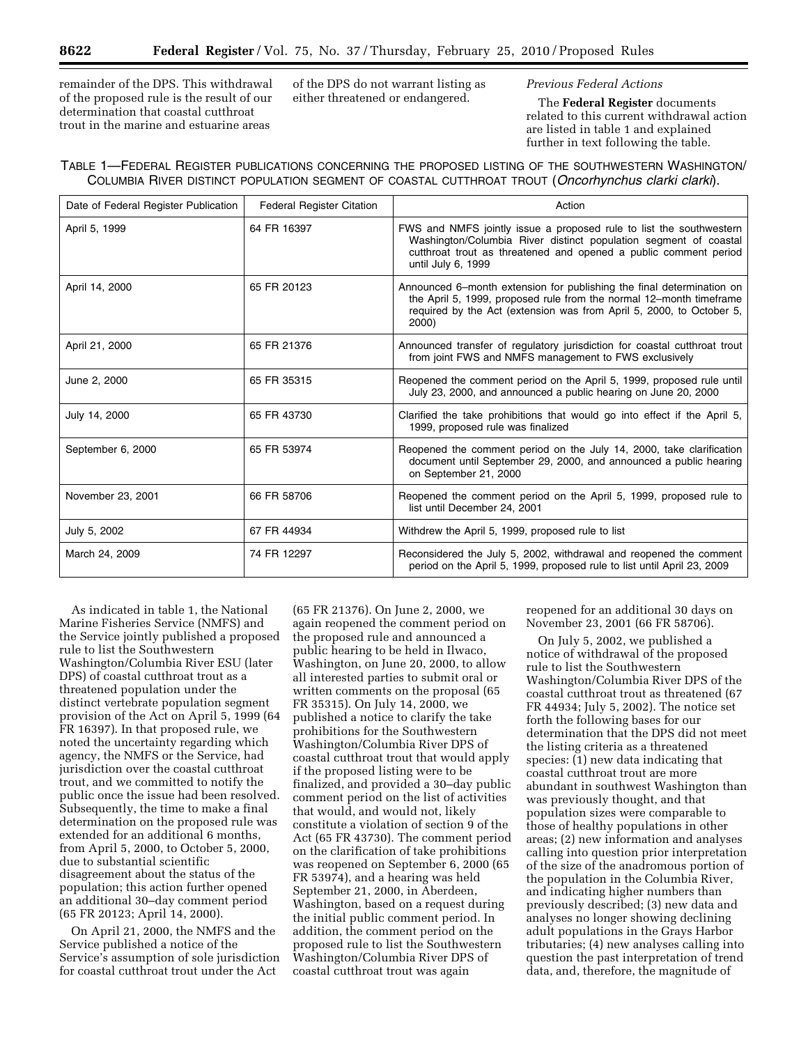remainder of the DPS. This withdrawal of the proposed rule is the result of our determination that coastal cutthroat trout in the marine and estuarine areas

of the DPS do not warrant listing as either threatened or endangered.

# *Previous Federal Actions*

The **Federal Register** documents related to this current withdrawal action are listed in table 1 and explained further in text following the table.

# TABLE 1—FEDERAL REGISTER PUBLICATIONS CONCERNING THE PROPOSED LISTING OF THE SOUTHWESTERN WASHINGTON/ COLUMBIA RIVER DISTINCT POPULATION SEGMENT OF COASTAL CUTTHROAT TROUT (*Oncorhynchus clarki clarki*).

| Date of Federal Register Publication | <b>Federal Register Citation</b> | Action                                                                                                                                                                                                                            |
|--------------------------------------|----------------------------------|-----------------------------------------------------------------------------------------------------------------------------------------------------------------------------------------------------------------------------------|
| April 5, 1999                        | 64 FR 16397                      | FWS and NMFS jointly issue a proposed rule to list the southwestern<br>Washington/Columbia River distinct population segment of coastal<br>cutthroat trout as threatened and opened a public comment period<br>until July 6, 1999 |
| April 14, 2000                       | 65 FR 20123                      | Announced 6–month extension for publishing the final determination on<br>the April 5, 1999, proposed rule from the normal 12–month timeframe<br>required by the Act (extension was from April 5, 2000, to October 5,<br>2000)     |
| April 21, 2000                       | 65 FR 21376                      | Announced transfer of regulatory jurisdiction for coastal cutthroat trout<br>from joint FWS and NMFS management to FWS exclusively                                                                                                |
| June 2, 2000                         | 65 FR 35315                      | Reopened the comment period on the April 5, 1999, proposed rule until<br>July 23, 2000, and announced a public hearing on June 20, 2000                                                                                           |
| July 14, 2000                        | 65 FR 43730                      | Clarified the take prohibitions that would go into effect if the April 5,<br>1999, proposed rule was finalized                                                                                                                    |
| September 6, 2000                    | 65 FR 53974                      | Reopened the comment period on the July 14, 2000, take clarification<br>document until September 29, 2000, and announced a public hearing<br>on September 21, 2000                                                                |
| November 23, 2001                    | 66 FR 58706                      | Reopened the comment period on the April 5, 1999, proposed rule to<br>list until December 24, 2001                                                                                                                                |
| July 5, 2002                         | 67 FR 44934                      | Withdrew the April 5, 1999, proposed rule to list                                                                                                                                                                                 |
| March 24, 2009                       | 74 FR 12297                      | Reconsidered the July 5, 2002, withdrawal and reopened the comment<br>period on the April 5, 1999, proposed rule to list until April 23, 2009                                                                                     |

As indicated in table 1, the National Marine Fisheries Service (NMFS) and the Service jointly published a proposed rule to list the Southwestern Washington/Columbia River ESU (later DPS) of coastal cutthroat trout as a threatened population under the distinct vertebrate population segment provision of the Act on April 5, 1999 (64 FR 16397). In that proposed rule, we noted the uncertainty regarding which agency, the NMFS or the Service, had jurisdiction over the coastal cutthroat trout, and we committed to notify the public once the issue had been resolved. Subsequently, the time to make a final determination on the proposed rule was extended for an additional 6 months, from April 5, 2000, to October 5, 2000, due to substantial scientific disagreement about the status of the population; this action further opened an additional 30–day comment period (65 FR 20123; April 14, 2000).

On April 21, 2000, the NMFS and the Service published a notice of the Service's assumption of sole jurisdiction for coastal cutthroat trout under the Act

(65 FR 21376). On June 2, 2000, we again reopened the comment period on the proposed rule and announced a public hearing to be held in Ilwaco, Washington, on June 20, 2000, to allow all interested parties to submit oral or written comments on the proposal (65 FR 35315). On July 14, 2000, we published a notice to clarify the take prohibitions for the Southwestern Washington/Columbia River DPS of coastal cutthroat trout that would apply if the proposed listing were to be finalized, and provided a 30–day public comment period on the list of activities that would, and would not, likely constitute a violation of section 9 of the Act (65 FR 43730). The comment period on the clarification of take prohibitions was reopened on September 6, 2000 (65 FR 53974), and a hearing was held September 21, 2000, in Aberdeen, Washington, based on a request during the initial public comment period. In addition, the comment period on the proposed rule to list the Southwestern Washington/Columbia River DPS of coastal cutthroat trout was again

reopened for an additional 30 days on November 23, 2001 (66 FR 58706).

On July 5, 2002, we published a notice of withdrawal of the proposed rule to list the Southwestern Washington/Columbia River DPS of the coastal cutthroat trout as threatened (67 FR 44934; July 5, 2002). The notice set forth the following bases for our determination that the DPS did not meet the listing criteria as a threatened species: (1) new data indicating that coastal cutthroat trout are more abundant in southwest Washington than was previously thought, and that population sizes were comparable to those of healthy populations in other areas; (2) new information and analyses calling into question prior interpretation of the size of the anadromous portion of the population in the Columbia River, and indicating higher numbers than previously described; (3) new data and analyses no longer showing declining adult populations in the Grays Harbor tributaries; (4) new analyses calling into question the past interpretation of trend data, and, therefore, the magnitude of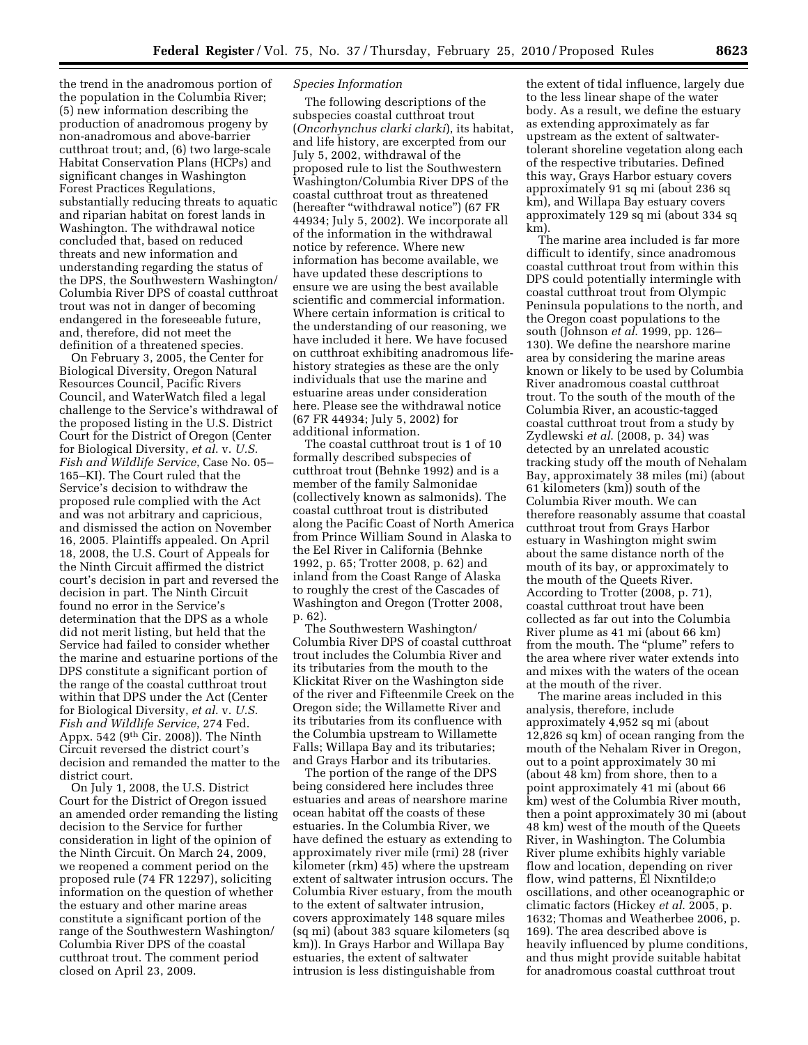the trend in the anadromous portion of the population in the Columbia River; (5) new information describing the production of anadromous progeny by non-anadromous and above-barrier cutthroat trout; and, (6) two large-scale Habitat Conservation Plans (HCPs) and significant changes in Washington Forest Practices Regulations, substantially reducing threats to aquatic and riparian habitat on forest lands in Washington. The withdrawal notice concluded that, based on reduced threats and new information and understanding regarding the status of the DPS, the Southwestern Washington/ Columbia River DPS of coastal cutthroat trout was not in danger of becoming endangered in the foreseeable future, and, therefore, did not meet the definition of a threatened species.

On February 3, 2005, the Center for Biological Diversity, Oregon Natural Resources Council, Pacific Rivers Council, and WaterWatch filed a legal challenge to the Service's withdrawal of the proposed listing in the U.S. District Court for the District of Oregon (Center for Biological Diversity, *et al*. v. *U.S. Fish and Wildlife Service*, Case No. 05– 165–KI). The Court ruled that the Service's decision to withdraw the proposed rule complied with the Act and was not arbitrary and capricious, and dismissed the action on November 16, 2005. Plaintiffs appealed. On April 18, 2008, the U.S. Court of Appeals for the Ninth Circuit affirmed the district court's decision in part and reversed the decision in part. The Ninth Circuit found no error in the Service's determination that the DPS as a whole did not merit listing, but held that the Service had failed to consider whether the marine and estuarine portions of the DPS constitute a significant portion of the range of the coastal cutthroat trout within that DPS under the Act (Center for Biological Diversity, *et al*. v. *U.S. Fish and Wildlife Service*, 274 Fed. Appx. 542 (9th Cir. 2008)). The Ninth Circuit reversed the district court's decision and remanded the matter to the district court.

On July 1, 2008, the U.S. District Court for the District of Oregon issued an amended order remanding the listing decision to the Service for further consideration in light of the opinion of the Ninth Circuit. On March 24, 2009, we reopened a comment period on the proposed rule (74 FR 12297), soliciting information on the question of whether the estuary and other marine areas constitute a significant portion of the range of the Southwestern Washington/ Columbia River DPS of the coastal cutthroat trout. The comment period closed on April 23, 2009.

## *Species Information*

The following descriptions of the subspecies coastal cutthroat trout (*Oncorhynchus clarki clarki*), its habitat, and life history, are excerpted from our July 5, 2002, withdrawal of the proposed rule to list the Southwestern Washington/Columbia River DPS of the coastal cutthroat trout as threatened (hereafter ''withdrawal notice'') (67 FR 44934; July 5, 2002). We incorporate all of the information in the withdrawal notice by reference. Where new information has become available, we have updated these descriptions to ensure we are using the best available scientific and commercial information. Where certain information is critical to the understanding of our reasoning, we have included it here. We have focused on cutthroat exhibiting anadromous lifehistory strategies as these are the only individuals that use the marine and estuarine areas under consideration here. Please see the withdrawal notice (67 FR 44934; July 5, 2002) for additional information.

The coastal cutthroat trout is 1 of 10 formally described subspecies of cutthroat trout (Behnke 1992) and is a member of the family Salmonidae (collectively known as salmonids). The coastal cutthroat trout is distributed along the Pacific Coast of North America from Prince William Sound in Alaska to the Eel River in California (Behnke 1992, p. 65; Trotter 2008, p. 62) and inland from the Coast Range of Alaska to roughly the crest of the Cascades of Washington and Oregon (Trotter 2008, p. 62).

The Southwestern Washington/ Columbia River DPS of coastal cutthroat trout includes the Columbia River and its tributaries from the mouth to the Klickitat River on the Washington side of the river and Fifteenmile Creek on the Oregon side; the Willamette River and its tributaries from its confluence with the Columbia upstream to Willamette Falls; Willapa Bay and its tributaries; and Grays Harbor and its tributaries.

The portion of the range of the DPS being considered here includes three estuaries and areas of nearshore marine ocean habitat off the coasts of these estuaries. In the Columbia River, we have defined the estuary as extending to approximately river mile (rmi) 28 (river kilometer (rkm) 45) where the upstream extent of saltwater intrusion occurs. The Columbia River estuary, from the mouth to the extent of saltwater intrusion, covers approximately 148 square miles (sq mi) (about 383 square kilometers (sq km)). In Grays Harbor and Willapa Bay estuaries, the extent of saltwater intrusion is less distinguishable from

the extent of tidal influence, largely due to the less linear shape of the water body. As a result, we define the estuary as extending approximately as far upstream as the extent of saltwatertolerant shoreline vegetation along each of the respective tributaries. Defined this way, Grays Harbor estuary covers approximately 91 sq mi (about 236 sq km), and Willapa Bay estuary covers approximately 129 sq mi (about 334 sq km).

The marine area included is far more difficult to identify, since anadromous coastal cutthroat trout from within this DPS could potentially intermingle with coastal cutthroat trout from Olympic Peninsula populations to the north, and the Oregon coast populations to the south (Johnson *et al*. 1999, pp. 126– 130). We define the nearshore marine area by considering the marine areas known or likely to be used by Columbia River anadromous coastal cutthroat trout. To the south of the mouth of the Columbia River, an acoustic-tagged coastal cutthroat trout from a study by Zydlewski *et al*. (2008, p. 34) was detected by an unrelated acoustic tracking study off the mouth of Nehalam Bay, approximately 38 miles (mi) (about 61 kilometers (km)) south of the Columbia River mouth. We can therefore reasonably assume that coastal cutthroat trout from Grays Harbor estuary in Washington might swim about the same distance north of the mouth of its bay, or approximately to the mouth of the Queets River. According to Trotter (2008, p. 71), coastal cutthroat trout have been collected as far out into the Columbia River plume as 41 mi (about 66 km) from the mouth. The "plume" refers to the area where river water extends into and mixes with the waters of the ocean at the mouth of the river.

The marine areas included in this analysis, therefore, include approximately 4,952 sq mi (about 12,826 sq km) of ocean ranging from the mouth of the Nehalam River in Oregon, out to a point approximately 30 mi (about 48 km) from shore, then to a point approximately 41 mi (about 66 km) west of the Columbia River mouth, then a point approximately 30 mi (about 48 km) west of the mouth of the Queets River, in Washington. The Columbia River plume exhibits highly variable flow and location, depending on river flow, wind patterns, El Nixntilde;o oscillations, and other oceanographic or climatic factors (Hickey *et al*. 2005, p. 1632; Thomas and Weatherbee 2006, p. 169). The area described above is heavily influenced by plume conditions, and thus might provide suitable habitat for anadromous coastal cutthroat trout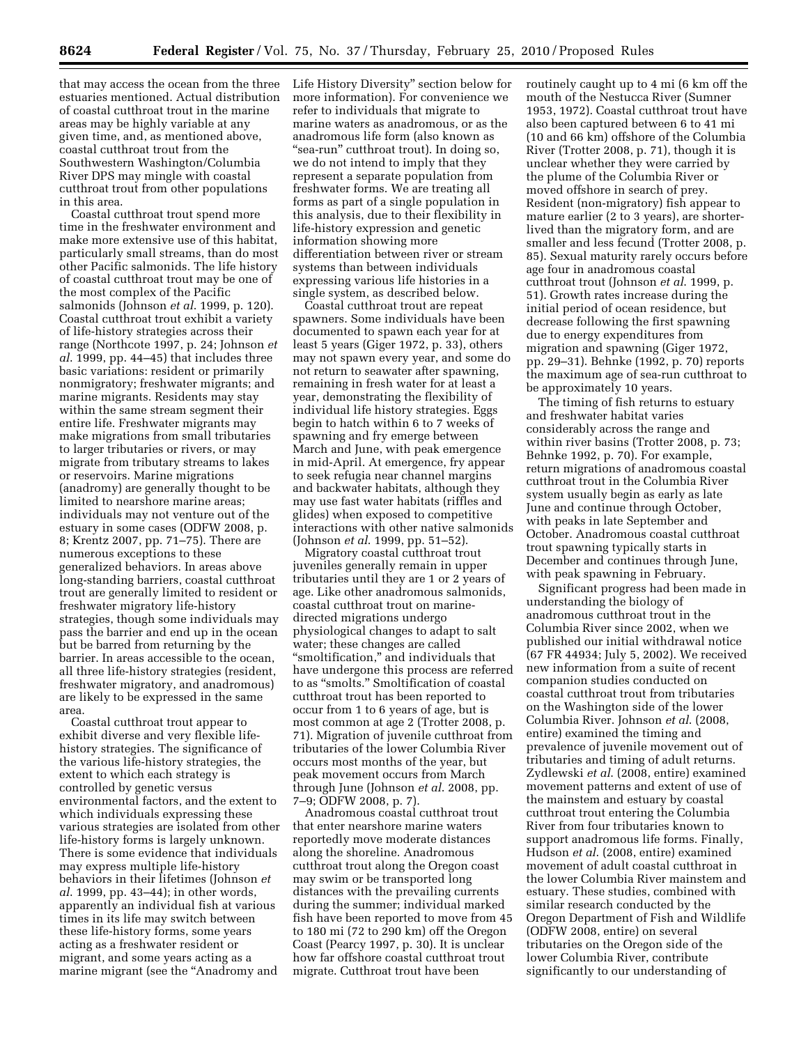that may access the ocean from the three estuaries mentioned. Actual distribution of coastal cutthroat trout in the marine areas may be highly variable at any given time, and, as mentioned above, coastal cutthroat trout from the Southwestern Washington/Columbia River DPS may mingle with coastal cutthroat trout from other populations in this area.

Coastal cutthroat trout spend more time in the freshwater environment and make more extensive use of this habitat, particularly small streams, than do most other Pacific salmonids. The life history of coastal cutthroat trout may be one of the most complex of the Pacific salmonids (Johnson *et al*. 1999, p. 120). Coastal cutthroat trout exhibit a variety of life-history strategies across their range (Northcote 1997, p. 24; Johnson *et al*. 1999, pp. 44–45) that includes three basic variations: resident or primarily nonmigratory; freshwater migrants; and marine migrants. Residents may stay within the same stream segment their entire life. Freshwater migrants may make migrations from small tributaries to larger tributaries or rivers, or may migrate from tributary streams to lakes or reservoirs. Marine migrations (anadromy) are generally thought to be limited to nearshore marine areas; individuals may not venture out of the estuary in some cases (ODFW 2008, p. 8; Krentz 2007, pp. 71–75). There are numerous exceptions to these generalized behaviors. In areas above long-standing barriers, coastal cutthroat trout are generally limited to resident or freshwater migratory life-history strategies, though some individuals may pass the barrier and end up in the ocean but be barred from returning by the barrier. In areas accessible to the ocean, all three life-history strategies (resident, freshwater migratory, and anadromous) are likely to be expressed in the same area.

Coastal cutthroat trout appear to exhibit diverse and very flexible lifehistory strategies. The significance of the various life-history strategies, the extent to which each strategy is controlled by genetic versus environmental factors, and the extent to which individuals expressing these various strategies are isolated from other life-history forms is largely unknown. There is some evidence that individuals may express multiple life-history behaviors in their lifetimes (Johnson *et al*. 1999, pp. 43–44); in other words, apparently an individual fish at various times in its life may switch between these life-history forms, some years acting as a freshwater resident or migrant, and some years acting as a marine migrant (see the ''Anadromy and

Life History Diversity'' section below for more information). For convenience we refer to individuals that migrate to marine waters as anadromous, or as the anadromous life form (also known as "sea-run" cutthroat trout). In doing so, we do not intend to imply that they represent a separate population from freshwater forms. We are treating all forms as part of a single population in this analysis, due to their flexibility in life-history expression and genetic information showing more differentiation between river or stream systems than between individuals expressing various life histories in a single system, as described below.

Coastal cutthroat trout are repeat spawners. Some individuals have been documented to spawn each year for at least 5 years (Giger 1972, p. 33), others may not spawn every year, and some do not return to seawater after spawning, remaining in fresh water for at least a year, demonstrating the flexibility of individual life history strategies. Eggs begin to hatch within 6 to 7 weeks of spawning and fry emerge between March and June, with peak emergence in mid-April. At emergence, fry appear to seek refugia near channel margins and backwater habitats, although they may use fast water habitats (riffles and glides) when exposed to competitive interactions with other native salmonids (Johnson *et al*. 1999, pp. 51–52).

Migratory coastal cutthroat trout juveniles generally remain in upper tributaries until they are 1 or 2 years of age. Like other anadromous salmonids, coastal cutthroat trout on marinedirected migrations undergo physiological changes to adapt to salt water; these changes are called ''smoltification,'' and individuals that have undergone this process are referred to as ''smolts.'' Smoltification of coastal cutthroat trout has been reported to occur from 1 to 6 years of age, but is most common at age 2 (Trotter 2008, p. 71). Migration of juvenile cutthroat from tributaries of the lower Columbia River occurs most months of the year, but peak movement occurs from March through June (Johnson *et al*. 2008, pp. 7–9; ODFW 2008, p. 7).

Anadromous coastal cutthroat trout that enter nearshore marine waters reportedly move moderate distances along the shoreline. Anadromous cutthroat trout along the Oregon coast may swim or be transported long distances with the prevailing currents during the summer; individual marked fish have been reported to move from 45 to 180 mi (72 to 290 km) off the Oregon Coast (Pearcy 1997, p. 30). It is unclear how far offshore coastal cutthroat trout migrate. Cutthroat trout have been

routinely caught up to 4 mi (6 km off the mouth of the Nestucca River (Sumner 1953, 1972). Coastal cutthroat trout have also been captured between 6 to 41 mi (10 and 66 km) offshore of the Columbia River (Trotter 2008, p. 71), though it is unclear whether they were carried by the plume of the Columbia River or moved offshore in search of prey. Resident (non-migratory) fish appear to mature earlier (2 to 3 years), are shorterlived than the migratory form, and are smaller and less fecund (Trotter 2008, p. 85). Sexual maturity rarely occurs before age four in anadromous coastal cutthroat trout (Johnson *et al*. 1999, p. 51). Growth rates increase during the initial period of ocean residence, but decrease following the first spawning due to energy expenditures from migration and spawning (Giger 1972, pp. 29–31). Behnke (1992, p. 70) reports the maximum age of sea-run cutthroat to be approximately 10 years.

The timing of fish returns to estuary and freshwater habitat varies considerably across the range and within river basins (Trotter 2008, p. 73; Behnke 1992, p. 70). For example, return migrations of anadromous coastal cutthroat trout in the Columbia River system usually begin as early as late June and continue through October, with peaks in late September and October. Anadromous coastal cutthroat trout spawning typically starts in December and continues through June, with peak spawning in February.

Significant progress had been made in understanding the biology of anadromous cutthroat trout in the Columbia River since 2002, when we published our initial withdrawal notice (67 FR 44934; July 5, 2002). We received new information from a suite of recent companion studies conducted on coastal cutthroat trout from tributaries on the Washington side of the lower Columbia River. Johnson *et al*. (2008, entire) examined the timing and prevalence of juvenile movement out of tributaries and timing of adult returns. Zydlewski *et al*. (2008, entire) examined movement patterns and extent of use of the mainstem and estuary by coastal cutthroat trout entering the Columbia River from four tributaries known to support anadromous life forms. Finally, Hudson *et al*. (2008, entire) examined movement of adult coastal cutthroat in the lower Columbia River mainstem and estuary. These studies, combined with similar research conducted by the Oregon Department of Fish and Wildlife (ODFW 2008, entire) on several tributaries on the Oregon side of the lower Columbia River, contribute significantly to our understanding of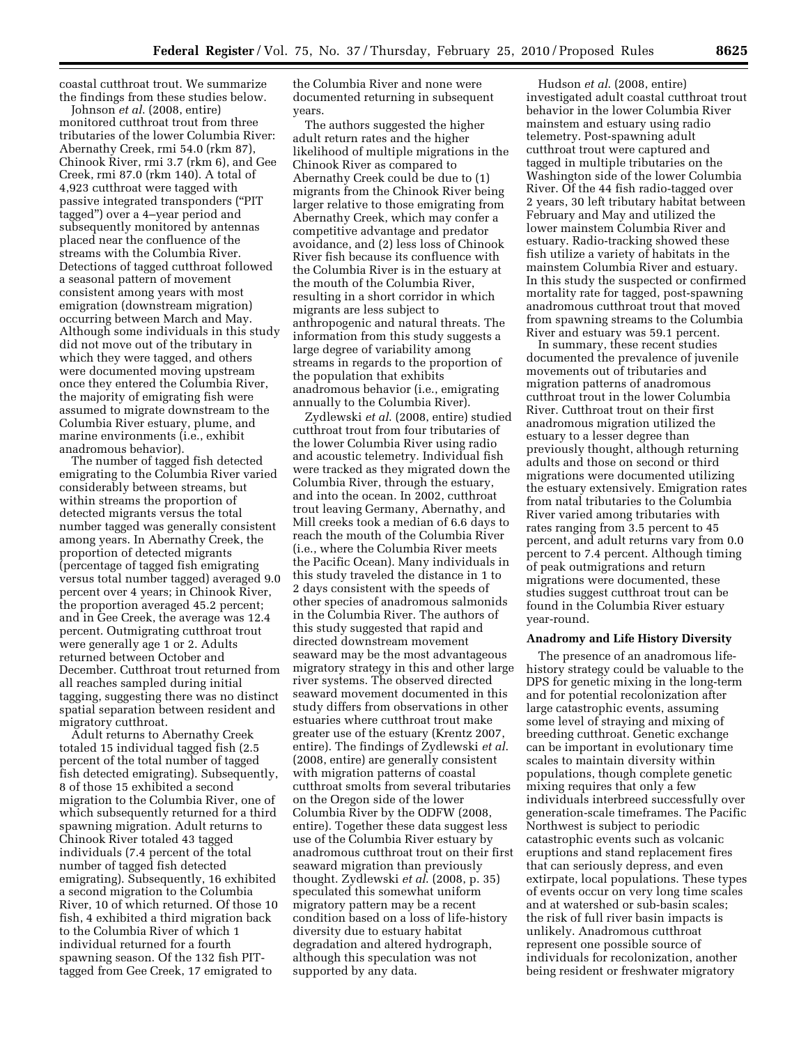coastal cutthroat trout. We summarize the findings from these studies below.

Johnson *et al*. (2008, entire) monitored cutthroat trout from three tributaries of the lower Columbia River: Abernathy Creek, rmi 54.0 (rkm 87), Chinook River, rmi 3.7 (rkm 6), and Gee Creek, rmi 87.0 (rkm 140). A total of 4,923 cutthroat were tagged with passive integrated transponders (''PIT tagged'') over a 4–year period and subsequently monitored by antennas placed near the confluence of the streams with the Columbia River. Detections of tagged cutthroat followed a seasonal pattern of movement consistent among years with most emigration (downstream migration) occurring between March and May. Although some individuals in this study did not move out of the tributary in which they were tagged, and others were documented moving upstream once they entered the Columbia River, the majority of emigrating fish were assumed to migrate downstream to the Columbia River estuary, plume, and marine environments (i.e., exhibit anadromous behavior).

The number of tagged fish detected emigrating to the Columbia River varied considerably between streams, but within streams the proportion of detected migrants versus the total number tagged was generally consistent among years. In Abernathy Creek, the proportion of detected migrants (percentage of tagged fish emigrating versus total number tagged) averaged 9.0 percent over 4 years; in Chinook River, the proportion averaged 45.2 percent; and in Gee Creek, the average was 12.4 percent. Outmigrating cutthroat trout were generally age 1 or 2. Adults returned between October and December. Cutthroat trout returned from all reaches sampled during initial tagging, suggesting there was no distinct spatial separation between resident and migratory cutthroat.

Adult returns to Abernathy Creek totaled 15 individual tagged fish (2.5 percent of the total number of tagged fish detected emigrating). Subsequently, 8 of those 15 exhibited a second migration to the Columbia River, one of which subsequently returned for a third spawning migration. Adult returns to Chinook River totaled 43 tagged individuals (7.4 percent of the total number of tagged fish detected emigrating). Subsequently, 16 exhibited a second migration to the Columbia River, 10 of which returned. Of those 10 fish, 4 exhibited a third migration back to the Columbia River of which 1 individual returned for a fourth spawning season. Of the 132 fish PITtagged from Gee Creek, 17 emigrated to

the Columbia River and none were documented returning in subsequent years.

The authors suggested the higher adult return rates and the higher likelihood of multiple migrations in the Chinook River as compared to Abernathy Creek could be due to (1) migrants from the Chinook River being larger relative to those emigrating from Abernathy Creek, which may confer a competitive advantage and predator avoidance, and (2) less loss of Chinook River fish because its confluence with the Columbia River is in the estuary at the mouth of the Columbia River, resulting in a short corridor in which migrants are less subject to anthropogenic and natural threats. The information from this study suggests a large degree of variability among streams in regards to the proportion of the population that exhibits anadromous behavior (i.e., emigrating annually to the Columbia River).

Zydlewski *et al*. (2008, entire) studied cutthroat trout from four tributaries of the lower Columbia River using radio and acoustic telemetry. Individual fish were tracked as they migrated down the Columbia River, through the estuary, and into the ocean. In 2002, cutthroat trout leaving Germany, Abernathy, and Mill creeks took a median of 6.6 days to reach the mouth of the Columbia River (i.e., where the Columbia River meets the Pacific Ocean). Many individuals in this study traveled the distance in 1 to 2 days consistent with the speeds of other species of anadromous salmonids in the Columbia River. The authors of this study suggested that rapid and directed downstream movement seaward may be the most advantageous migratory strategy in this and other large river systems. The observed directed seaward movement documented in this study differs from observations in other estuaries where cutthroat trout make greater use of the estuary (Krentz 2007, entire). The findings of Zydlewski *et al*. (2008, entire) are generally consistent with migration patterns of coastal cutthroat smolts from several tributaries on the Oregon side of the lower Columbia River by the ODFW (2008, entire). Together these data suggest less use of the Columbia River estuary by anadromous cutthroat trout on their first seaward migration than previously thought. Zydlewski *et al*. (2008, p. 35) speculated this somewhat uniform migratory pattern may be a recent condition based on a loss of life-history diversity due to estuary habitat degradation and altered hydrograph, although this speculation was not supported by any data.

Hudson *et al*. (2008, entire) investigated adult coastal cutthroat trout behavior in the lower Columbia River mainstem and estuary using radio telemetry. Post-spawning adult cutthroat trout were captured and tagged in multiple tributaries on the Washington side of the lower Columbia River. Of the 44 fish radio-tagged over 2 years, 30 left tributary habitat between February and May and utilized the lower mainstem Columbia River and estuary. Radio-tracking showed these fish utilize a variety of habitats in the mainstem Columbia River and estuary. In this study the suspected or confirmed mortality rate for tagged, post-spawning anadromous cutthroat trout that moved from spawning streams to the Columbia River and estuary was 59.1 percent.

In summary, these recent studies documented the prevalence of juvenile movements out of tributaries and migration patterns of anadromous cutthroat trout in the lower Columbia River. Cutthroat trout on their first anadromous migration utilized the estuary to a lesser degree than previously thought, although returning adults and those on second or third migrations were documented utilizing the estuary extensively. Emigration rates from natal tributaries to the Columbia River varied among tributaries with rates ranging from 3.5 percent to 45 percent, and adult returns vary from 0.0 percent to 7.4 percent. Although timing of peak outmigrations and return migrations were documented, these studies suggest cutthroat trout can be found in the Columbia River estuary year-round.

### **Anadromy and Life History Diversity**

The presence of an anadromous lifehistory strategy could be valuable to the DPS for genetic mixing in the long-term and for potential recolonization after large catastrophic events, assuming some level of straying and mixing of breeding cutthroat. Genetic exchange can be important in evolutionary time scales to maintain diversity within populations, though complete genetic mixing requires that only a few individuals interbreed successfully over generation-scale timeframes. The Pacific Northwest is subject to periodic catastrophic events such as volcanic eruptions and stand replacement fires that can seriously depress, and even extirpate, local populations. These types of events occur on very long time scales and at watershed or sub-basin scales; the risk of full river basin impacts is unlikely. Anadromous cutthroat represent one possible source of individuals for recolonization, another being resident or freshwater migratory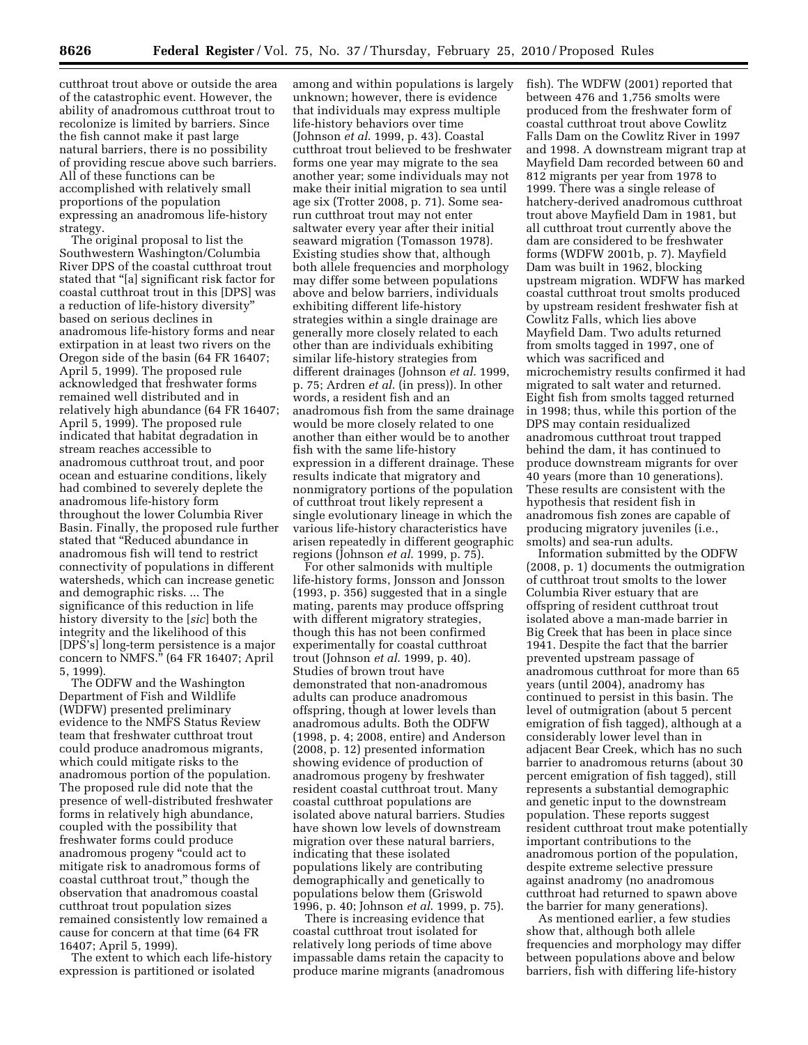cutthroat trout above or outside the area of the catastrophic event. However, the ability of anadromous cutthroat trout to recolonize is limited by barriers. Since the fish cannot make it past large natural barriers, there is no possibility of providing rescue above such barriers. All of these functions can be accomplished with relatively small proportions of the population expressing an anadromous life-history strategy.

The original proposal to list the Southwestern Washington/Columbia River DPS of the coastal cutthroat trout stated that ''[a] significant risk factor for coastal cutthroat trout in this [DPS] was a reduction of life-history diversity'' based on serious declines in anadromous life-history forms and near extirpation in at least two rivers on the Oregon side of the basin (64 FR 16407; April 5, 1999). The proposed rule acknowledged that freshwater forms remained well distributed and in relatively high abundance (64 FR 16407; April 5, 1999). The proposed rule indicated that habitat degradation in stream reaches accessible to anadromous cutthroat trout, and poor ocean and estuarine conditions, likely had combined to severely deplete the anadromous life-history form throughout the lower Columbia River Basin. Finally, the proposed rule further stated that ''Reduced abundance in anadromous fish will tend to restrict connectivity of populations in different watersheds, which can increase genetic and demographic risks. ... The significance of this reduction in life history diversity to the [*sic*] both the integrity and the likelihood of this [DPS's] long-term persistence is a major concern to NMFS.'' (64 FR 16407; April 5, 1999).

The ODFW and the Washington Department of Fish and Wildlife (WDFW) presented preliminary evidence to the NMFS Status Review team that freshwater cutthroat trout could produce anadromous migrants, which could mitigate risks to the anadromous portion of the population. The proposed rule did note that the presence of well-distributed freshwater forms in relatively high abundance, coupled with the possibility that freshwater forms could produce anadromous progeny ''could act to mitigate risk to anadromous forms of coastal cutthroat trout,'' though the observation that anadromous coastal cutthroat trout population sizes remained consistently low remained a cause for concern at that time (64 FR 16407; April 5, 1999).

The extent to which each life-history expression is partitioned or isolated

among and within populations is largely unknown; however, there is evidence that individuals may express multiple life-history behaviors over time (Johnson *et al*. 1999, p. 43). Coastal cutthroat trout believed to be freshwater forms one year may migrate to the sea another year; some individuals may not make their initial migration to sea until age six (Trotter 2008, p. 71). Some searun cutthroat trout may not enter saltwater every year after their initial seaward migration (Tomasson 1978). Existing studies show that, although both allele frequencies and morphology may differ some between populations above and below barriers, individuals exhibiting different life-history strategies within a single drainage are generally more closely related to each other than are individuals exhibiting similar life-history strategies from different drainages (Johnson *et al*. 1999, p. 75; Ardren *et al*. (in press)). In other words, a resident fish and an anadromous fish from the same drainage would be more closely related to one another than either would be to another fish with the same life-history expression in a different drainage. These results indicate that migratory and nonmigratory portions of the population of cutthroat trout likely represent a single evolutionary lineage in which the various life-history characteristics have arisen repeatedly in different geographic regions (Johnson *et al*. 1999, p. 75).

For other salmonids with multiple life-history forms, Jonsson and Jonsson (1993, p. 356) suggested that in a single mating, parents may produce offspring with different migratory strategies, though this has not been confirmed experimentally for coastal cutthroat trout (Johnson *et al*. 1999, p. 40). Studies of brown trout have demonstrated that non-anadromous adults can produce anadromous offspring, though at lower levels than anadromous adults. Both the ODFW (1998, p. 4; 2008, entire) and Anderson (2008, p. 12) presented information showing evidence of production of anadromous progeny by freshwater resident coastal cutthroat trout. Many coastal cutthroat populations are isolated above natural barriers. Studies have shown low levels of downstream migration over these natural barriers, indicating that these isolated populations likely are contributing demographically and genetically to populations below them (Griswold 1996, p. 40; Johnson *et al*. 1999, p. 75).

There is increasing evidence that coastal cutthroat trout isolated for relatively long periods of time above impassable dams retain the capacity to produce marine migrants (anadromous fish). The WDFW (2001) reported that between 476 and 1,756 smolts were produced from the freshwater form of coastal cutthroat trout above Cowlitz Falls Dam on the Cowlitz River in 1997 and 1998. A downstream migrant trap at Mayfield Dam recorded between 60 and 812 migrants per year from 1978 to 1999. There was a single release of hatchery-derived anadromous cutthroat trout above Mayfield Dam in 1981, but all cutthroat trout currently above the dam are considered to be freshwater forms (WDFW 2001b, p. 7). Mayfield Dam was built in 1962, blocking upstream migration. WDFW has marked coastal cutthroat trout smolts produced by upstream resident freshwater fish at Cowlitz Falls, which lies above Mayfield Dam. Two adults returned from smolts tagged in 1997, one of which was sacrificed and microchemistry results confirmed it had migrated to salt water and returned. Eight fish from smolts tagged returned in 1998; thus, while this portion of the DPS may contain residualized anadromous cutthroat trout trapped behind the dam, it has continued to produce downstream migrants for over 40 years (more than 10 generations). These results are consistent with the hypothesis that resident fish in anadromous fish zones are capable of producing migratory juveniles (i.e., smolts) and sea-run adults.

Information submitted by the ODFW (2008, p. 1) documents the outmigration of cutthroat trout smolts to the lower Columbia River estuary that are offspring of resident cutthroat trout isolated above a man-made barrier in Big Creek that has been in place since 1941. Despite the fact that the barrier prevented upstream passage of anadromous cutthroat for more than 65 years (until 2004), anadromy has continued to persist in this basin. The level of outmigration (about 5 percent emigration of fish tagged), although at a considerably lower level than in adjacent Bear Creek, which has no such barrier to anadromous returns (about 30 percent emigration of fish tagged), still represents a substantial demographic and genetic input to the downstream population. These reports suggest resident cutthroat trout make potentially important contributions to the anadromous portion of the population, despite extreme selective pressure against anadromy (no anadromous cutthroat had returned to spawn above the barrier for many generations).

As mentioned earlier, a few studies show that, although both allele frequencies and morphology may differ between populations above and below barriers, fish with differing life-history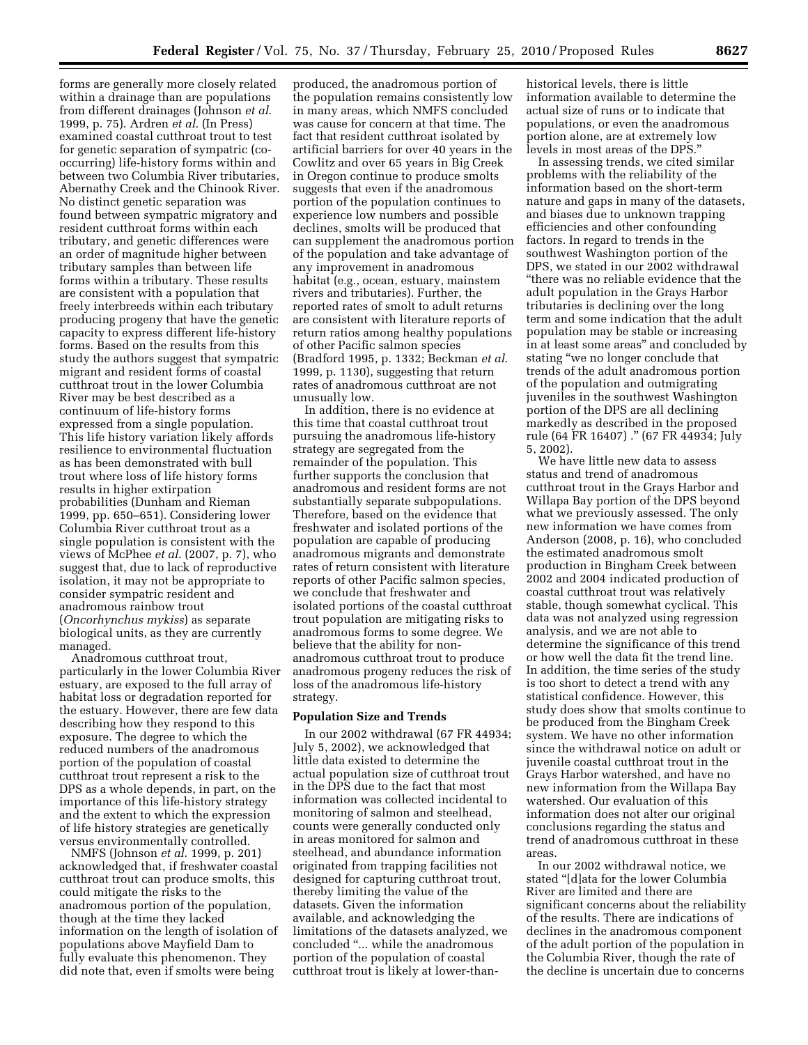forms are generally more closely related within a drainage than are populations from different drainages (Johnson *et al*. 1999, p. 75). Ardren *et al*. (In Press) examined coastal cutthroat trout to test for genetic separation of sympatric (cooccurring) life-history forms within and between two Columbia River tributaries, Abernathy Creek and the Chinook River. No distinct genetic separation was found between sympatric migratory and resident cutthroat forms within each tributary, and genetic differences were an order of magnitude higher between tributary samples than between life forms within a tributary. These results are consistent with a population that freely interbreeds within each tributary producing progeny that have the genetic capacity to express different life-history forms. Based on the results from this study the authors suggest that sympatric migrant and resident forms of coastal cutthroat trout in the lower Columbia River may be best described as a continuum of life-history forms expressed from a single population. This life history variation likely affords resilience to environmental fluctuation as has been demonstrated with bull trout where loss of life history forms results in higher extirpation probabilities (Dunham and Rieman 1999, pp. 650–651). Considering lower Columbia River cutthroat trout as a single population is consistent with the views of McPhee *et al*. (2007, p. 7), who suggest that, due to lack of reproductive isolation, it may not be appropriate to consider sympatric resident and anadromous rainbow trout (*Oncorhynchus mykiss*) as separate biological units, as they are currently managed.

Anadromous cutthroat trout, particularly in the lower Columbia River estuary, are exposed to the full array of habitat loss or degradation reported for the estuary. However, there are few data describing how they respond to this exposure. The degree to which the reduced numbers of the anadromous portion of the population of coastal cutthroat trout represent a risk to the DPS as a whole depends, in part, on the importance of this life-history strategy and the extent to which the expression of life history strategies are genetically versus environmentally controlled.

NMFS (Johnson *et al*. 1999, p. 201) acknowledged that, if freshwater coastal cutthroat trout can produce smolts, this could mitigate the risks to the anadromous portion of the population, though at the time they lacked information on the length of isolation of populations above Mayfield Dam to fully evaluate this phenomenon. They did note that, even if smolts were being

produced, the anadromous portion of the population remains consistently low in many areas, which NMFS concluded was cause for concern at that time. The fact that resident cutthroat isolated by artificial barriers for over 40 years in the Cowlitz and over 65 years in Big Creek in Oregon continue to produce smolts suggests that even if the anadromous portion of the population continues to experience low numbers and possible declines, smolts will be produced that can supplement the anadromous portion of the population and take advantage of any improvement in anadromous habitat (e.g., ocean, estuary, mainstem rivers and tributaries). Further, the reported rates of smolt to adult returns are consistent with literature reports of return ratios among healthy populations of other Pacific salmon species (Bradford 1995, p. 1332; Beckman *et al*. 1999, p. 1130), suggesting that return rates of anadromous cutthroat are not unusually low.

In addition, there is no evidence at this time that coastal cutthroat trout pursuing the anadromous life-history strategy are segregated from the remainder of the population. This further supports the conclusion that anadromous and resident forms are not substantially separate subpopulations. Therefore, based on the evidence that freshwater and isolated portions of the population are capable of producing anadromous migrants and demonstrate rates of return consistent with literature reports of other Pacific salmon species, we conclude that freshwater and isolated portions of the coastal cutthroat trout population are mitigating risks to anadromous forms to some degree. We believe that the ability for nonanadromous cutthroat trout to produce anadromous progeny reduces the risk of loss of the anadromous life-history strategy.

### **Population Size and Trends**

In our 2002 withdrawal (67 FR 44934; July 5, 2002), we acknowledged that little data existed to determine the actual population size of cutthroat trout in the DPS due to the fact that most information was collected incidental to monitoring of salmon and steelhead, counts were generally conducted only in areas monitored for salmon and steelhead, and abundance information originated from trapping facilities not designed for capturing cutthroat trout, thereby limiting the value of the datasets. Given the information available, and acknowledging the limitations of the datasets analyzed, we concluded ''... while the anadromous portion of the population of coastal cutthroat trout is likely at lower-than-

historical levels, there is little information available to determine the actual size of runs or to indicate that populations, or even the anadromous portion alone, are at extremely low levels in most areas of the DPS.''

In assessing trends, we cited similar problems with the reliability of the information based on the short-term nature and gaps in many of the datasets, and biases due to unknown trapping efficiencies and other confounding factors. In regard to trends in the southwest Washington portion of the DPS, we stated in our 2002 withdrawal ''there was no reliable evidence that the adult population in the Grays Harbor tributaries is declining over the long term and some indication that the adult population may be stable or increasing in at least some areas'' and concluded by stating ''we no longer conclude that trends of the adult anadromous portion of the population and outmigrating juveniles in the southwest Washington portion of the DPS are all declining markedly as described in the proposed rule (64 FR 16407) .'' (67 FR 44934; July 5, 2002).

We have little new data to assess status and trend of anadromous cutthroat trout in the Grays Harbor and Willapa Bay portion of the DPS beyond what we previously assessed. The only new information we have comes from Anderson (2008, p. 16), who concluded the estimated anadromous smolt production in Bingham Creek between 2002 and 2004 indicated production of coastal cutthroat trout was relatively stable, though somewhat cyclical. This data was not analyzed using regression analysis, and we are not able to determine the significance of this trend or how well the data fit the trend line. In addition, the time series of the study is too short to detect a trend with any statistical confidence. However, this study does show that smolts continue to be produced from the Bingham Creek system. We have no other information since the withdrawal notice on adult or juvenile coastal cutthroat trout in the Grays Harbor watershed, and have no new information from the Willapa Bay watershed. Our evaluation of this information does not alter our original conclusions regarding the status and trend of anadromous cutthroat in these areas.

In our 2002 withdrawal notice, we stated ''[d]ata for the lower Columbia River are limited and there are significant concerns about the reliability of the results. There are indications of declines in the anadromous component of the adult portion of the population in the Columbia River, though the rate of the decline is uncertain due to concerns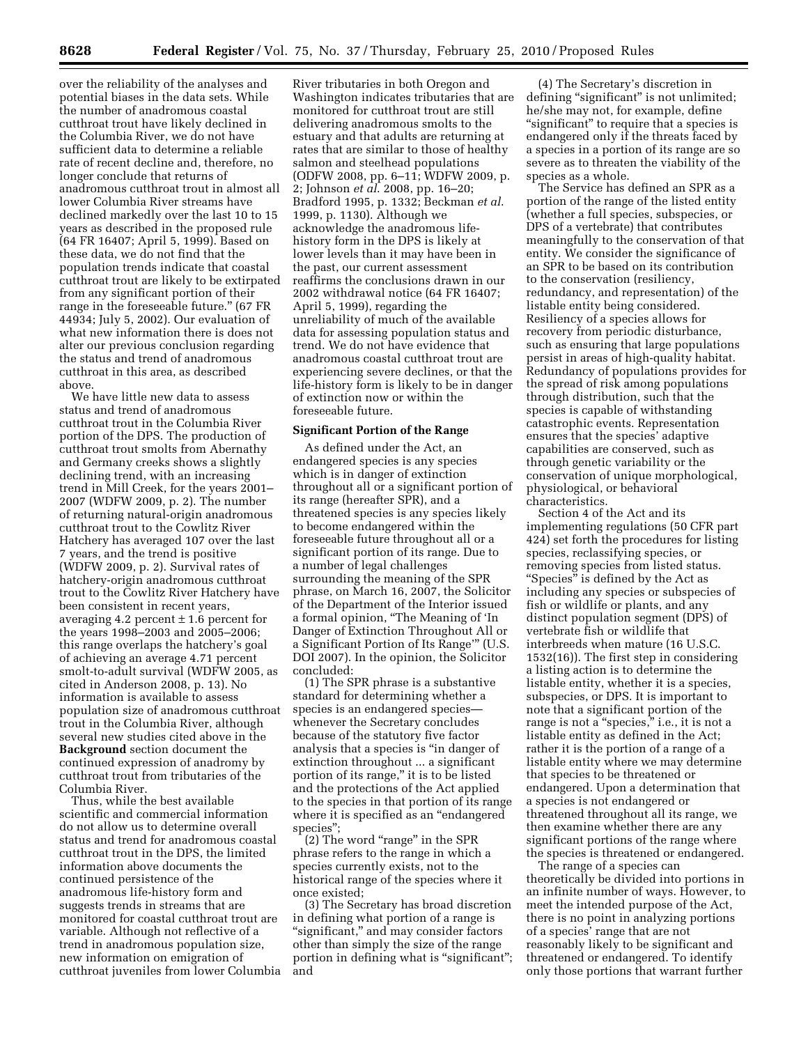over the reliability of the analyses and potential biases in the data sets. While the number of anadromous coastal cutthroat trout have likely declined in the Columbia River, we do not have sufficient data to determine a reliable rate of recent decline and, therefore, no longer conclude that returns of anadromous cutthroat trout in almost all lower Columbia River streams have declined markedly over the last 10 to 15 years as described in the proposed rule (64 FR 16407; April 5, 1999). Based on these data, we do not find that the population trends indicate that coastal cutthroat trout are likely to be extirpated from any significant portion of their range in the foreseeable future.'' (67 FR 44934; July 5, 2002). Our evaluation of what new information there is does not alter our previous conclusion regarding the status and trend of anadromous cutthroat in this area, as described above.

We have little new data to assess status and trend of anadromous cutthroat trout in the Columbia River portion of the DPS. The production of cutthroat trout smolts from Abernathy and Germany creeks shows a slightly declining trend, with an increasing trend in Mill Creek, for the years 2001– 2007 (WDFW 2009, p. 2). The number of returning natural-origin anadromous cutthroat trout to the Cowlitz River Hatchery has averaged 107 over the last 7 years, and the trend is positive (WDFW 2009, p. 2). Survival rates of hatchery-origin anadromous cutthroat trout to the Cowlitz River Hatchery have been consistent in recent years, averaging 4.2 percent  $\pm$  1.6 percent for the years 1998–2003 and 2005–2006; this range overlaps the hatchery's goal of achieving an average 4.71 percent smolt-to-adult survival (WDFW 2005, as cited in Anderson 2008, p. 13). No information is available to assess population size of anadromous cutthroat trout in the Columbia River, although several new studies cited above in the **Background** section document the continued expression of anadromy by cutthroat trout from tributaries of the Columbia River.

Thus, while the best available scientific and commercial information do not allow us to determine overall status and trend for anadromous coastal cutthroat trout in the DPS, the limited information above documents the continued persistence of the anadromous life-history form and suggests trends in streams that are monitored for coastal cutthroat trout are variable. Although not reflective of a trend in anadromous population size, new information on emigration of cutthroat juveniles from lower Columbia

River tributaries in both Oregon and Washington indicates tributaries that are monitored for cutthroat trout are still delivering anadromous smolts to the estuary and that adults are returning at rates that are similar to those of healthy salmon and steelhead populations (ODFW 2008, pp. 6–11; WDFW 2009, p. 2; Johnson *et al*. 2008, pp. 16–20; Bradford 1995, p. 1332; Beckman *et al*. 1999, p. 1130). Although we acknowledge the anadromous lifehistory form in the DPS is likely at lower levels than it may have been in the past, our current assessment reaffirms the conclusions drawn in our 2002 withdrawal notice (64 FR 16407; April 5, 1999), regarding the unreliability of much of the available data for assessing population status and trend. We do not have evidence that anadromous coastal cutthroat trout are experiencing severe declines, or that the life-history form is likely to be in danger of extinction now or within the foreseeable future.

#### **Significant Portion of the Range**

As defined under the Act, an endangered species is any species which is in danger of extinction throughout all or a significant portion of its range (hereafter SPR), and a threatened species is any species likely to become endangered within the foreseeable future throughout all or a significant portion of its range. Due to a number of legal challenges surrounding the meaning of the SPR phrase, on March 16, 2007, the Solicitor of the Department of the Interior issued a formal opinion, ''The Meaning of 'In Danger of Extinction Throughout All or a Significant Portion of Its Range''' (U.S. DOI 2007). In the opinion, the Solicitor concluded:

(1) The SPR phrase is a substantive standard for determining whether a species is an endangered species whenever the Secretary concludes because of the statutory five factor analysis that a species is ''in danger of extinction throughout ... a significant portion of its range,'' it is to be listed and the protections of the Act applied to the species in that portion of its range where it is specified as an "endangered" species'';

(2) The word ''range'' in the SPR phrase refers to the range in which a species currently exists, not to the historical range of the species where it once existed;

(3) The Secretary has broad discretion in defining what portion of a range is "significant," and may consider factors other than simply the size of the range portion in defining what is "significant"; and

(4) The Secretary's discretion in defining "significant" is not unlimited; he/she may not, for example, define "significant" to require that a species is endangered only if the threats faced by a species in a portion of its range are so severe as to threaten the viability of the species as a whole.

The Service has defined an SPR as a portion of the range of the listed entity (whether a full species, subspecies, or DPS of a vertebrate) that contributes meaningfully to the conservation of that entity. We consider the significance of an SPR to be based on its contribution to the conservation (resiliency, redundancy, and representation) of the listable entity being considered. Resiliency of a species allows for recovery from periodic disturbance, such as ensuring that large populations persist in areas of high-quality habitat. Redundancy of populations provides for the spread of risk among populations through distribution, such that the species is capable of withstanding catastrophic events. Representation ensures that the species' adaptive capabilities are conserved, such as through genetic variability or the conservation of unique morphological, physiological, or behavioral characteristics.

Section 4 of the Act and its implementing regulations (50 CFR part 424) set forth the procedures for listing species, reclassifying species, or removing species from listed status. ''Species'' is defined by the Act as including any species or subspecies of fish or wildlife or plants, and any distinct population segment (DPS) of vertebrate fish or wildlife that interbreeds when mature (16 U.S.C. 1532(16)). The first step in considering a listing action is to determine the listable entity, whether it is a species, subspecies, or DPS. It is important to note that a significant portion of the range is not a "species," i.e., it is not a listable entity as defined in the Act; rather it is the portion of a range of a listable entity where we may determine that species to be threatened or endangered. Upon a determination that a species is not endangered or threatened throughout all its range, we then examine whether there are any significant portions of the range where the species is threatened or endangered.

The range of a species can theoretically be divided into portions in an infinite number of ways. However, to meet the intended purpose of the Act, there is no point in analyzing portions of a species' range that are not reasonably likely to be significant and threatened or endangered. To identify only those portions that warrant further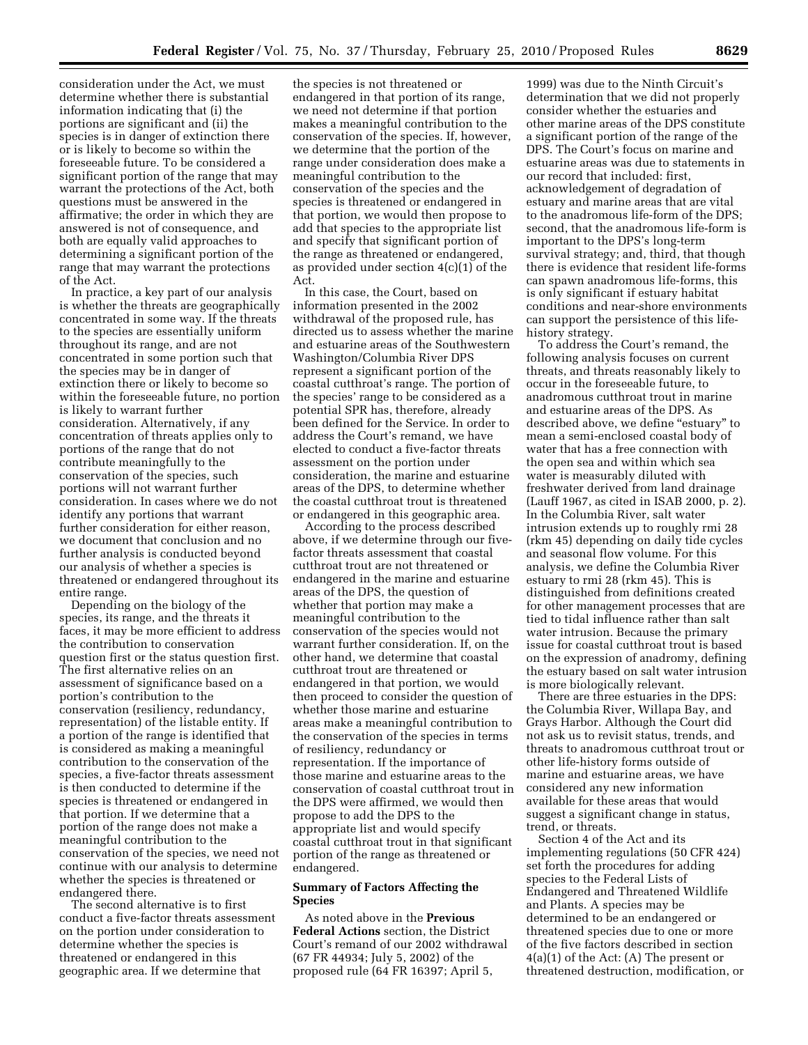consideration under the Act, we must determine whether there is substantial information indicating that (i) the portions are significant and (ii) the species is in danger of extinction there or is likely to become so within the foreseeable future. To be considered a significant portion of the range that may warrant the protections of the Act, both questions must be answered in the affirmative; the order in which they are answered is not of consequence, and both are equally valid approaches to determining a significant portion of the range that may warrant the protections of the Act.

In practice, a key part of our analysis is whether the threats are geographically concentrated in some way. If the threats to the species are essentially uniform throughout its range, and are not concentrated in some portion such that the species may be in danger of extinction there or likely to become so within the foreseeable future, no portion is likely to warrant further consideration. Alternatively, if any concentration of threats applies only to portions of the range that do not contribute meaningfully to the conservation of the species, such portions will not warrant further consideration. In cases where we do not identify any portions that warrant further consideration for either reason, we document that conclusion and no further analysis is conducted beyond our analysis of whether a species is threatened or endangered throughout its entire range.

Depending on the biology of the species, its range, and the threats it faces, it may be more efficient to address the contribution to conservation question first or the status question first. The first alternative relies on an assessment of significance based on a portion's contribution to the conservation (resiliency, redundancy, representation) of the listable entity. If a portion of the range is identified that is considered as making a meaningful contribution to the conservation of the species, a five-factor threats assessment is then conducted to determine if the species is threatened or endangered in that portion. If we determine that a portion of the range does not make a meaningful contribution to the conservation of the species, we need not continue with our analysis to determine whether the species is threatened or endangered there.

The second alternative is to first conduct a five-factor threats assessment on the portion under consideration to determine whether the species is threatened or endangered in this geographic area. If we determine that

the species is not threatened or endangered in that portion of its range, we need not determine if that portion makes a meaningful contribution to the conservation of the species. If, however, we determine that the portion of the range under consideration does make a meaningful contribution to the conservation of the species and the species is threatened or endangered in that portion, we would then propose to add that species to the appropriate list and specify that significant portion of the range as threatened or endangered, as provided under section 4(c)(1) of the Act.

In this case, the Court, based on information presented in the 2002 withdrawal of the proposed rule, has directed us to assess whether the marine and estuarine areas of the Southwestern Washington/Columbia River DPS represent a significant portion of the coastal cutthroat's range. The portion of the species' range to be considered as a potential SPR has, therefore, already been defined for the Service. In order to address the Court's remand, we have elected to conduct a five-factor threats assessment on the portion under consideration, the marine and estuarine areas of the DPS, to determine whether the coastal cutthroat trout is threatened or endangered in this geographic area.

According to the process described above, if we determine through our fivefactor threats assessment that coastal cutthroat trout are not threatened or endangered in the marine and estuarine areas of the DPS, the question of whether that portion may make a meaningful contribution to the conservation of the species would not warrant further consideration. If, on the other hand, we determine that coastal cutthroat trout are threatened or endangered in that portion, we would then proceed to consider the question of whether those marine and estuarine areas make a meaningful contribution to the conservation of the species in terms of resiliency, redundancy or representation. If the importance of those marine and estuarine areas to the conservation of coastal cutthroat trout in the DPS were affirmed, we would then propose to add the DPS to the appropriate list and would specify coastal cutthroat trout in that significant portion of the range as threatened or endangered.

## **Summary of Factors Affecting the Species**

As noted above in the **Previous Federal Actions** section, the District Court's remand of our 2002 withdrawal (67 FR 44934; July 5, 2002) of the proposed rule (64 FR 16397; April 5,

1999) was due to the Ninth Circuit's determination that we did not properly consider whether the estuaries and other marine areas of the DPS constitute a significant portion of the range of the DPS. The Court's focus on marine and estuarine areas was due to statements in our record that included: first, acknowledgement of degradation of estuary and marine areas that are vital to the anadromous life-form of the DPS; second, that the anadromous life-form is important to the DPS's long-term survival strategy; and, third, that though there is evidence that resident life-forms can spawn anadromous life-forms, this is only significant if estuary habitat conditions and near-shore environments can support the persistence of this lifehistory strategy.

To address the Court's remand, the following analysis focuses on current threats, and threats reasonably likely to occur in the foreseeable future, to anadromous cutthroat trout in marine and estuarine areas of the DPS. As described above, we define "estuary" to mean a semi-enclosed coastal body of water that has a free connection with the open sea and within which sea water is measurably diluted with freshwater derived from land drainage (Lauff 1967, as cited in ISAB 2000, p. 2). In the Columbia River, salt water intrusion extends up to roughly rmi 28 (rkm 45) depending on daily tide cycles and seasonal flow volume. For this analysis, we define the Columbia River estuary to rmi 28 (rkm 45). This is distinguished from definitions created for other management processes that are tied to tidal influence rather than salt water intrusion. Because the primary issue for coastal cutthroat trout is based on the expression of anadromy, defining the estuary based on salt water intrusion is more biologically relevant.

There are three estuaries in the DPS: the Columbia River, Willapa Bay, and Grays Harbor. Although the Court did not ask us to revisit status, trends, and threats to anadromous cutthroat trout or other life-history forms outside of marine and estuarine areas, we have considered any new information available for these areas that would suggest a significant change in status, trend, or threats.

Section 4 of the Act and its implementing regulations (50 CFR 424) set forth the procedures for adding species to the Federal Lists of Endangered and Threatened Wildlife and Plants. A species may be determined to be an endangered or threatened species due to one or more of the five factors described in section 4(a)(1) of the Act: (A) The present or threatened destruction, modification, or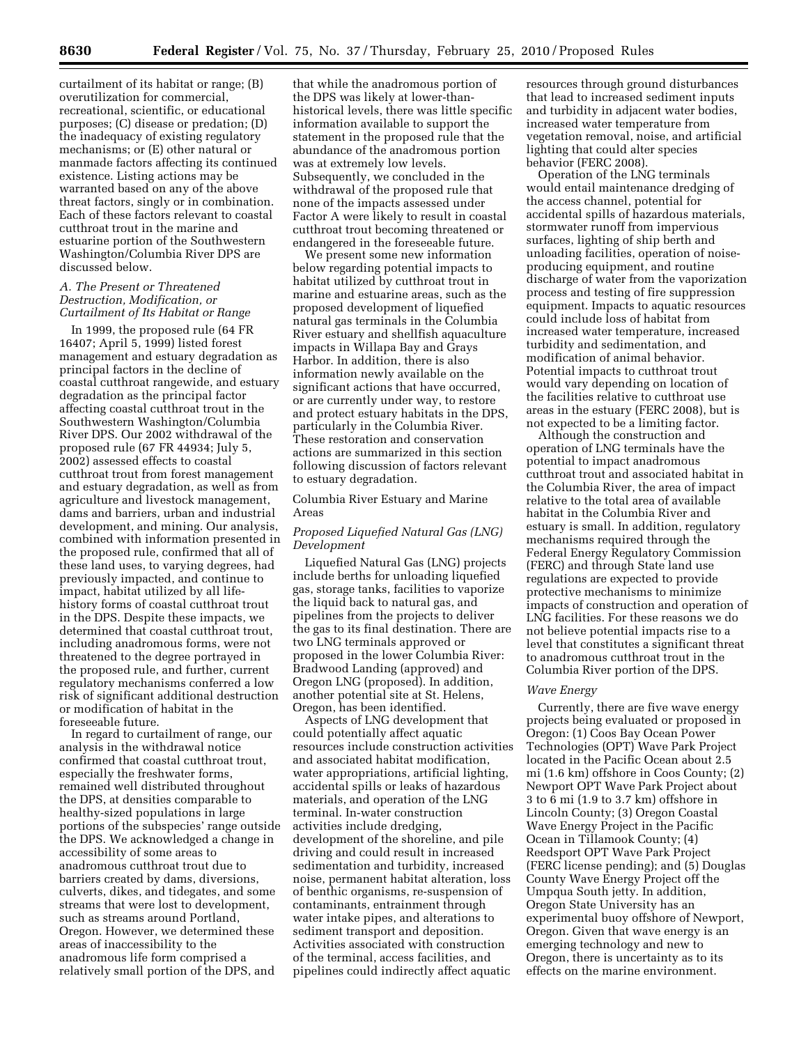curtailment of its habitat or range; (B) overutilization for commercial, recreational, scientific, or educational purposes; (C) disease or predation; (D) the inadequacy of existing regulatory mechanisms; or (E) other natural or manmade factors affecting its continued existence. Listing actions may be warranted based on any of the above threat factors, singly or in combination. Each of these factors relevant to coastal cutthroat trout in the marine and estuarine portion of the Southwestern Washington/Columbia River DPS are discussed below.

## *A. The Present or Threatened Destruction, Modification, or Curtailment of Its Habitat or Range*

In 1999, the proposed rule (64 FR 16407; April 5, 1999) listed forest management and estuary degradation as principal factors in the decline of coastal cutthroat rangewide, and estuary degradation as the principal factor affecting coastal cutthroat trout in the Southwestern Washington/Columbia River DPS. Our 2002 withdrawal of the proposed rule (67 FR 44934; July 5, 2002) assessed effects to coastal cutthroat trout from forest management and estuary degradation, as well as from agriculture and livestock management, dams and barriers, urban and industrial development, and mining. Our analysis, combined with information presented in the proposed rule, confirmed that all of these land uses, to varying degrees, had previously impacted, and continue to impact, habitat utilized by all lifehistory forms of coastal cutthroat trout in the DPS. Despite these impacts, we determined that coastal cutthroat trout, including anadromous forms, were not threatened to the degree portrayed in the proposed rule, and further, current regulatory mechanisms conferred a low risk of significant additional destruction or modification of habitat in the foreseeable future.

In regard to curtailment of range, our analysis in the withdrawal notice confirmed that coastal cutthroat trout, especially the freshwater forms, remained well distributed throughout the DPS, at densities comparable to healthy-sized populations in large portions of the subspecies' range outside the DPS. We acknowledged a change in accessibility of some areas to anadromous cutthroat trout due to barriers created by dams, diversions, culverts, dikes, and tidegates, and some streams that were lost to development, such as streams around Portland, Oregon. However, we determined these areas of inaccessibility to the anadromous life form comprised a relatively small portion of the DPS, and

that while the anadromous portion of the DPS was likely at lower-thanhistorical levels, there was little specific information available to support the statement in the proposed rule that the abundance of the anadromous portion was at extremely low levels. Subsequently, we concluded in the withdrawal of the proposed rule that none of the impacts assessed under Factor A were likely to result in coastal cutthroat trout becoming threatened or endangered in the foreseeable future.

We present some new information below regarding potential impacts to habitat utilized by cutthroat trout in marine and estuarine areas, such as the proposed development of liquefied natural gas terminals in the Columbia River estuary and shellfish aquaculture impacts in Willapa Bay and Grays Harbor. In addition, there is also information newly available on the significant actions that have occurred, or are currently under way, to restore and protect estuary habitats in the DPS, particularly in the Columbia River. These restoration and conservation actions are summarized in this section following discussion of factors relevant to estuary degradation.

Columbia River Estuary and Marine Areas

# *Proposed Liquefied Natural Gas (LNG) Development*

Liquefied Natural Gas (LNG) projects include berths for unloading liquefied gas, storage tanks, facilities to vaporize the liquid back to natural gas, and pipelines from the projects to deliver the gas to its final destination. There are two LNG terminals approved or proposed in the lower Columbia River: Bradwood Landing (approved) and Oregon LNG (proposed). In addition, another potential site at St. Helens, Oregon, has been identified.

Aspects of LNG development that could potentially affect aquatic resources include construction activities and associated habitat modification, water appropriations, artificial lighting, accidental spills or leaks of hazardous materials, and operation of the LNG terminal. In-water construction activities include dredging, development of the shoreline, and pile driving and could result in increased sedimentation and turbidity, increased noise, permanent habitat alteration, loss of benthic organisms, re-suspension of contaminants, entrainment through water intake pipes, and alterations to sediment transport and deposition. Activities associated with construction of the terminal, access facilities, and pipelines could indirectly affect aquatic

resources through ground disturbances that lead to increased sediment inputs and turbidity in adjacent water bodies, increased water temperature from vegetation removal, noise, and artificial lighting that could alter species behavior (FERC 2008).

Operation of the LNG terminals would entail maintenance dredging of the access channel, potential for accidental spills of hazardous materials, stormwater runoff from impervious surfaces, lighting of ship berth and unloading facilities, operation of noiseproducing equipment, and routine discharge of water from the vaporization process and testing of fire suppression equipment. Impacts to aquatic resources could include loss of habitat from increased water temperature, increased turbidity and sedimentation, and modification of animal behavior. Potential impacts to cutthroat trout would vary depending on location of the facilities relative to cutthroat use areas in the estuary (FERC 2008), but is not expected to be a limiting factor.

Although the construction and operation of LNG terminals have the potential to impact anadromous cutthroat trout and associated habitat in the Columbia River, the area of impact relative to the total area of available habitat in the Columbia River and estuary is small. In addition, regulatory mechanisms required through the Federal Energy Regulatory Commission (FERC) and through State land use regulations are expected to provide protective mechanisms to minimize impacts of construction and operation of LNG facilities. For these reasons we do not believe potential impacts rise to a level that constitutes a significant threat to anadromous cutthroat trout in the Columbia River portion of the DPS.

## *Wave Energy*

Currently, there are five wave energy projects being evaluated or proposed in Oregon: (1) Coos Bay Ocean Power Technologies (OPT) Wave Park Project located in the Pacific Ocean about 2.5 mi (1.6 km) offshore in Coos County; (2) Newport OPT Wave Park Project about 3 to 6 mi (1.9 to 3.7 km) offshore in Lincoln County; (3) Oregon Coastal Wave Energy Project in the Pacific Ocean in Tillamook County; (4) Reedsport OPT Wave Park Project (FERC license pending); and (5) Douglas County Wave Energy Project off the Umpqua South jetty. In addition, Oregon State University has an experimental buoy offshore of Newport, Oregon. Given that wave energy is an emerging technology and new to Oregon, there is uncertainty as to its effects on the marine environment.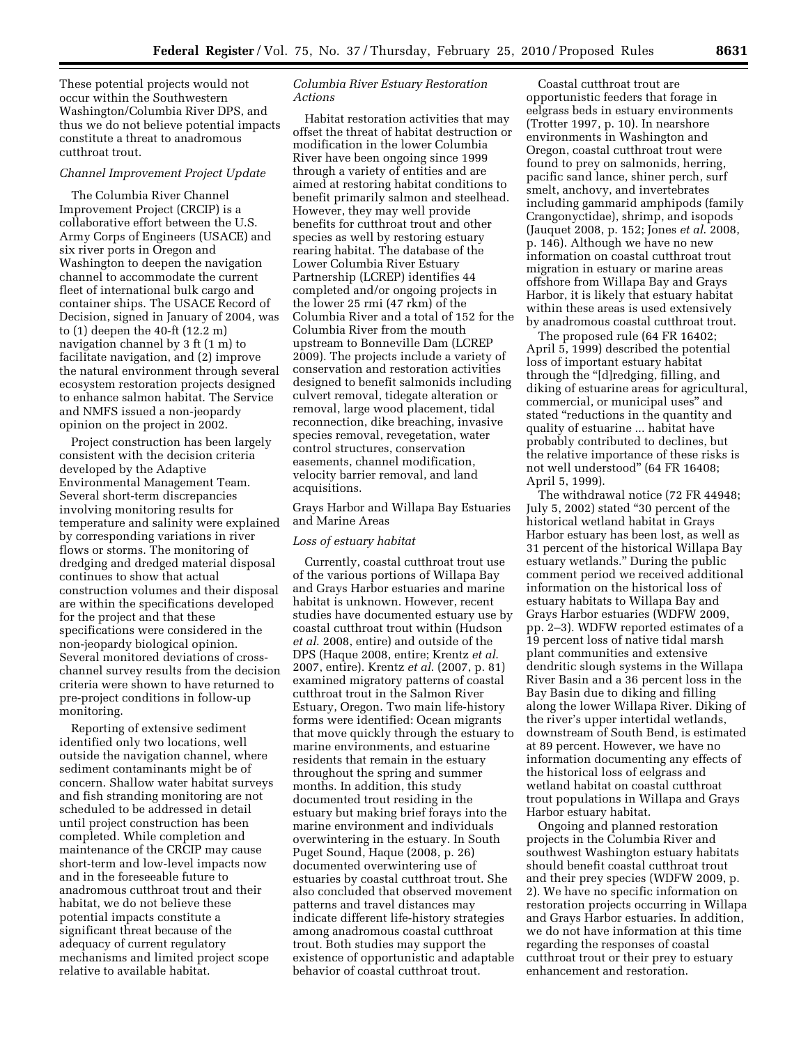These potential projects would not occur within the Southwestern Washington/Columbia River DPS, and thus we do not believe potential impacts constitute a threat to anadromous cutthroat trout.

### *Channel Improvement Project Update*

The Columbia River Channel Improvement Project (CRCIP) is a collaborative effort between the U.S. Army Corps of Engineers (USACE) and six river ports in Oregon and Washington to deepen the navigation channel to accommodate the current fleet of international bulk cargo and container ships. The USACE Record of Decision, signed in January of 2004, was to (1) deepen the 40-ft (12.2 m) navigation channel by 3 ft (1 m) to facilitate navigation, and (2) improve the natural environment through several ecosystem restoration projects designed to enhance salmon habitat. The Service and NMFS issued a non-jeopardy opinion on the project in 2002.

Project construction has been largely consistent with the decision criteria developed by the Adaptive Environmental Management Team. Several short-term discrepancies involving monitoring results for temperature and salinity were explained by corresponding variations in river flows or storms. The monitoring of dredging and dredged material disposal continues to show that actual construction volumes and their disposal are within the specifications developed for the project and that these specifications were considered in the non-jeopardy biological opinion. Several monitored deviations of crosschannel survey results from the decision criteria were shown to have returned to pre-project conditions in follow-up monitoring.

Reporting of extensive sediment identified only two locations, well outside the navigation channel, where sediment contaminants might be of concern. Shallow water habitat surveys and fish stranding monitoring are not scheduled to be addressed in detail until project construction has been completed. While completion and maintenance of the CRCIP may cause short-term and low-level impacts now and in the foreseeable future to anadromous cutthroat trout and their habitat, we do not believe these potential impacts constitute a significant threat because of the adequacy of current regulatory mechanisms and limited project scope relative to available habitat.

# *Columbia River Estuary Restoration Actions*

Habitat restoration activities that may offset the threat of habitat destruction or modification in the lower Columbia River have been ongoing since 1999 through a variety of entities and are aimed at restoring habitat conditions to benefit primarily salmon and steelhead. However, they may well provide benefits for cutthroat trout and other species as well by restoring estuary rearing habitat. The database of the Lower Columbia River Estuary Partnership (LCREP) identifies 44 completed and/or ongoing projects in the lower 25 rmi (47 rkm) of the Columbia River and a total of 152 for the Columbia River from the mouth upstream to Bonneville Dam (LCREP 2009). The projects include a variety of conservation and restoration activities designed to benefit salmonids including culvert removal, tidegate alteration or removal, large wood placement, tidal reconnection, dike breaching, invasive species removal, revegetation, water control structures, conservation easements, channel modification, velocity barrier removal, and land acquisitions.

Grays Harbor and Willapa Bay Estuaries and Marine Areas

## *Loss of estuary habitat*

Currently, coastal cutthroat trout use of the various portions of Willapa Bay and Grays Harbor estuaries and marine habitat is unknown. However, recent studies have documented estuary use by coastal cutthroat trout within (Hudson *et al*. 2008, entire) and outside of the DPS (Haque 2008, entire; Krentz *et al*. 2007, entire). Krentz *et al*. (2007, p. 81) examined migratory patterns of coastal cutthroat trout in the Salmon River Estuary, Oregon. Two main life-history forms were identified: Ocean migrants that move quickly through the estuary to marine environments, and estuarine residents that remain in the estuary throughout the spring and summer months. In addition, this study documented trout residing in the estuary but making brief forays into the marine environment and individuals overwintering in the estuary. In South Puget Sound, Haque (2008, p. 26) documented overwintering use of estuaries by coastal cutthroat trout. She also concluded that observed movement patterns and travel distances may indicate different life-history strategies among anadromous coastal cutthroat trout. Both studies may support the existence of opportunistic and adaptable behavior of coastal cutthroat trout.

Coastal cutthroat trout are opportunistic feeders that forage in eelgrass beds in estuary environments (Trotter 1997, p. 10). In nearshore environments in Washington and Oregon, coastal cutthroat trout were found to prey on salmonids, herring, pacific sand lance, shiner perch, surf smelt, anchovy, and invertebrates including gammarid amphipods (family Crangonyctidae), shrimp, and isopods (Jauquet 2008, p. 152; Jones *et al*. 2008, p. 146). Although we have no new information on coastal cutthroat trout migration in estuary or marine areas offshore from Willapa Bay and Grays Harbor, it is likely that estuary habitat within these areas is used extensively by anadromous coastal cutthroat trout.

The proposed rule (64 FR 16402; April 5, 1999) described the potential loss of important estuary habitat through the "[d]redging, filling, and diking of estuarine areas for agricultural, commercial, or municipal uses'' and stated ''reductions in the quantity and quality of estuarine ... habitat have probably contributed to declines, but the relative importance of these risks is not well understood'' (64 FR 16408; April 5, 1999).

The withdrawal notice (72 FR 44948; July 5, 2002) stated ''30 percent of the historical wetland habitat in Grays Harbor estuary has been lost, as well as 31 percent of the historical Willapa Bay estuary wetlands.'' During the public comment period we received additional information on the historical loss of estuary habitats to Willapa Bay and Grays Harbor estuaries (WDFW 2009, pp. 2–3). WDFW reported estimates of a 19 percent loss of native tidal marsh plant communities and extensive dendritic slough systems in the Willapa River Basin and a 36 percent loss in the Bay Basin due to diking and filling along the lower Willapa River. Diking of the river's upper intertidal wetlands, downstream of South Bend, is estimated at 89 percent. However, we have no information documenting any effects of the historical loss of eelgrass and wetland habitat on coastal cutthroat trout populations in Willapa and Grays Harbor estuary habitat.

Ongoing and planned restoration projects in the Columbia River and southwest Washington estuary habitats should benefit coastal cutthroat trout and their prey species (WDFW 2009, p. 2). We have no specific information on restoration projects occurring in Willapa and Grays Harbor estuaries. In addition, we do not have information at this time regarding the responses of coastal cutthroat trout or their prey to estuary enhancement and restoration.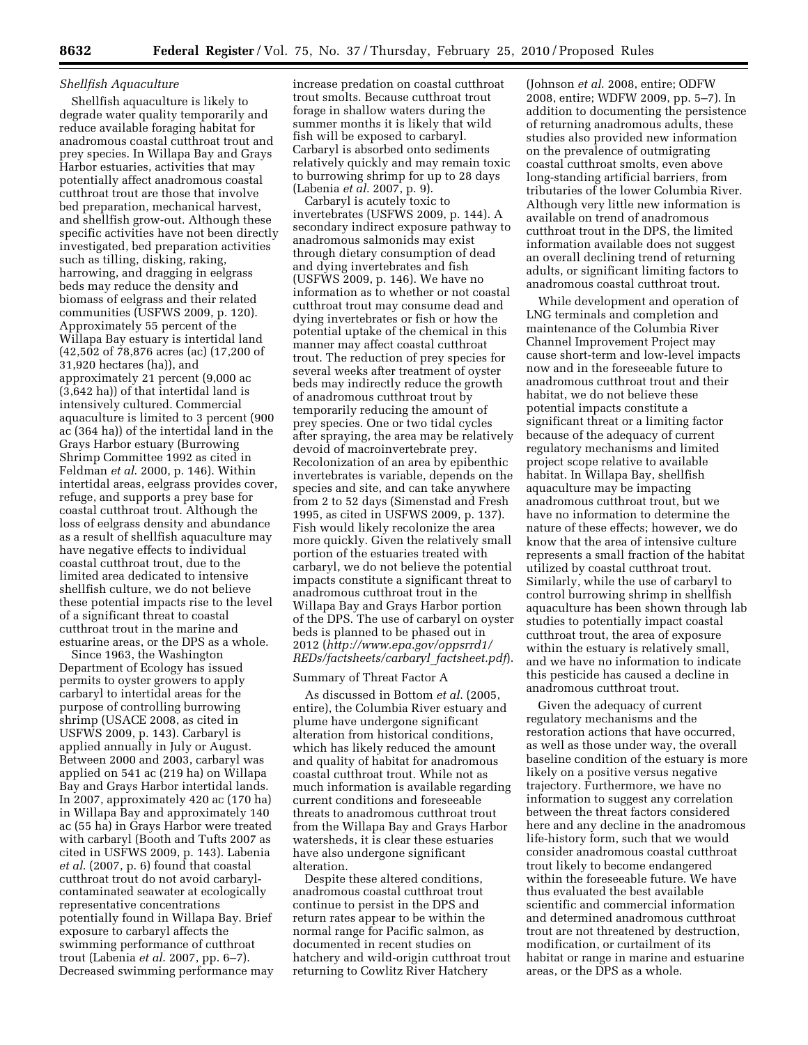# *Shellfish Aquaculture*

Shellfish aquaculture is likely to degrade water quality temporarily and reduce available foraging habitat for anadromous coastal cutthroat trout and prey species. In Willapa Bay and Grays Harbor estuaries, activities that may potentially affect anadromous coastal cutthroat trout are those that involve bed preparation, mechanical harvest, and shellfish grow-out. Although these specific activities have not been directly investigated, bed preparation activities such as tilling, disking, raking, harrowing, and dragging in eelgrass beds may reduce the density and biomass of eelgrass and their related communities (USFWS 2009, p. 120). Approximately 55 percent of the Willapa Bay estuary is intertidal land (42,502 of 78,876 acres (ac) (17,200 of 31,920 hectares (ha)), and approximately 21 percent (9,000 ac (3,642 ha)) of that intertidal land is intensively cultured. Commercial aquaculture is limited to 3 percent (900 ac (364 ha)) of the intertidal land in the Grays Harbor estuary (Burrowing Shrimp Committee 1992 as cited in Feldman *et al*. 2000, p. 146). Within intertidal areas, eelgrass provides cover, refuge, and supports a prey base for coastal cutthroat trout. Although the loss of eelgrass density and abundance as a result of shellfish aquaculture may have negative effects to individual coastal cutthroat trout, due to the limited area dedicated to intensive shellfish culture, we do not believe these potential impacts rise to the level of a significant threat to coastal cutthroat trout in the marine and estuarine areas, or the DPS as a whole.

Since 1963, the Washington Department of Ecology has issued permits to oyster growers to apply carbaryl to intertidal areas for the purpose of controlling burrowing shrimp (USACE 2008, as cited in USFWS 2009, p. 143). Carbaryl is applied annually in July or August. Between 2000 and 2003, carbaryl was applied on 541 ac (219 ha) on Willapa Bay and Grays Harbor intertidal lands. In 2007, approximately 420 ac (170 ha) in Willapa Bay and approximately 140 ac (55 ha) in Grays Harbor were treated with carbaryl (Booth and Tufts 2007 as cited in USFWS 2009, p. 143). Labenia *et al*. (2007, p. 6) found that coastal cutthroat trout do not avoid carbarylcontaminated seawater at ecologically representative concentrations potentially found in Willapa Bay. Brief exposure to carbaryl affects the swimming performance of cutthroat trout (Labenia *et al*. 2007, pp. 6–7). Decreased swimming performance may increase predation on coastal cutthroat trout smolts. Because cutthroat trout forage in shallow waters during the summer months it is likely that wild fish will be exposed to carbaryl. Carbaryl is absorbed onto sediments relatively quickly and may remain toxic to burrowing shrimp for up to 28 days (Labenia *et al*. 2007, p. 9).

Carbaryl is acutely toxic to invertebrates (USFWS 2009, p. 144). A secondary indirect exposure pathway to anadromous salmonids may exist through dietary consumption of dead and dying invertebrates and fish (USFWS 2009, p. 146). We have no information as to whether or not coastal cutthroat trout may consume dead and dying invertebrates or fish or how the potential uptake of the chemical in this manner may affect coastal cutthroat trout. The reduction of prey species for several weeks after treatment of oyster beds may indirectly reduce the growth of anadromous cutthroat trout by temporarily reducing the amount of prey species. One or two tidal cycles after spraying, the area may be relatively devoid of macroinvertebrate prey. Recolonization of an area by epibenthic invertebrates is variable, depends on the species and site, and can take anywhere from 2 to 52 days (Simenstad and Fresh 1995, as cited in USFWS 2009, p. 137). Fish would likely recolonize the area more quickly. Given the relatively small portion of the estuaries treated with carbaryl, we do not believe the potential impacts constitute a significant threat to anadromous cutthroat trout in the Willapa Bay and Grays Harbor portion of the DPS. The use of carbaryl on oyster beds is planned to be phased out in 2012 (*http://www.epa.gov/oppsrrd1/ REDs/factsheets/carbaryl*\_*factsheet.pdf*).

#### Summary of Threat Factor A

As discussed in Bottom *et al*. (2005, entire), the Columbia River estuary and plume have undergone significant alteration from historical conditions, which has likely reduced the amount and quality of habitat for anadromous coastal cutthroat trout. While not as much information is available regarding current conditions and foreseeable threats to anadromous cutthroat trout from the Willapa Bay and Grays Harbor watersheds, it is clear these estuaries have also undergone significant alteration.

Despite these altered conditions, anadromous coastal cutthroat trout continue to persist in the DPS and return rates appear to be within the normal range for Pacific salmon, as documented in recent studies on hatchery and wild-origin cutthroat trout returning to Cowlitz River Hatchery

(Johnson *et al*. 2008, entire; ODFW 2008, entire; WDFW 2009, pp. 5–7). In addition to documenting the persistence of returning anadromous adults, these studies also provided new information on the prevalence of outmigrating coastal cutthroat smolts, even above long-standing artificial barriers, from tributaries of the lower Columbia River. Although very little new information is available on trend of anadromous cutthroat trout in the DPS, the limited information available does not suggest an overall declining trend of returning adults, or significant limiting factors to anadromous coastal cutthroat trout.

While development and operation of LNG terminals and completion and maintenance of the Columbia River Channel Improvement Project may cause short-term and low-level impacts now and in the foreseeable future to anadromous cutthroat trout and their habitat, we do not believe these potential impacts constitute a significant threat or a limiting factor because of the adequacy of current regulatory mechanisms and limited project scope relative to available habitat. In Willapa Bay, shellfish aquaculture may be impacting anadromous cutthroat trout, but we have no information to determine the nature of these effects; however, we do know that the area of intensive culture represents a small fraction of the habitat utilized by coastal cutthroat trout. Similarly, while the use of carbaryl to control burrowing shrimp in shellfish aquaculture has been shown through lab studies to potentially impact coastal cutthroat trout, the area of exposure within the estuary is relatively small, and we have no information to indicate this pesticide has caused a decline in anadromous cutthroat trout.

Given the adequacy of current regulatory mechanisms and the restoration actions that have occurred, as well as those under way, the overall baseline condition of the estuary is more likely on a positive versus negative trajectory. Furthermore, we have no information to suggest any correlation between the threat factors considered here and any decline in the anadromous life-history form, such that we would consider anadromous coastal cutthroat trout likely to become endangered within the foreseeable future. We have thus evaluated the best available scientific and commercial information and determined anadromous cutthroat trout are not threatened by destruction, modification, or curtailment of its habitat or range in marine and estuarine areas, or the DPS as a whole.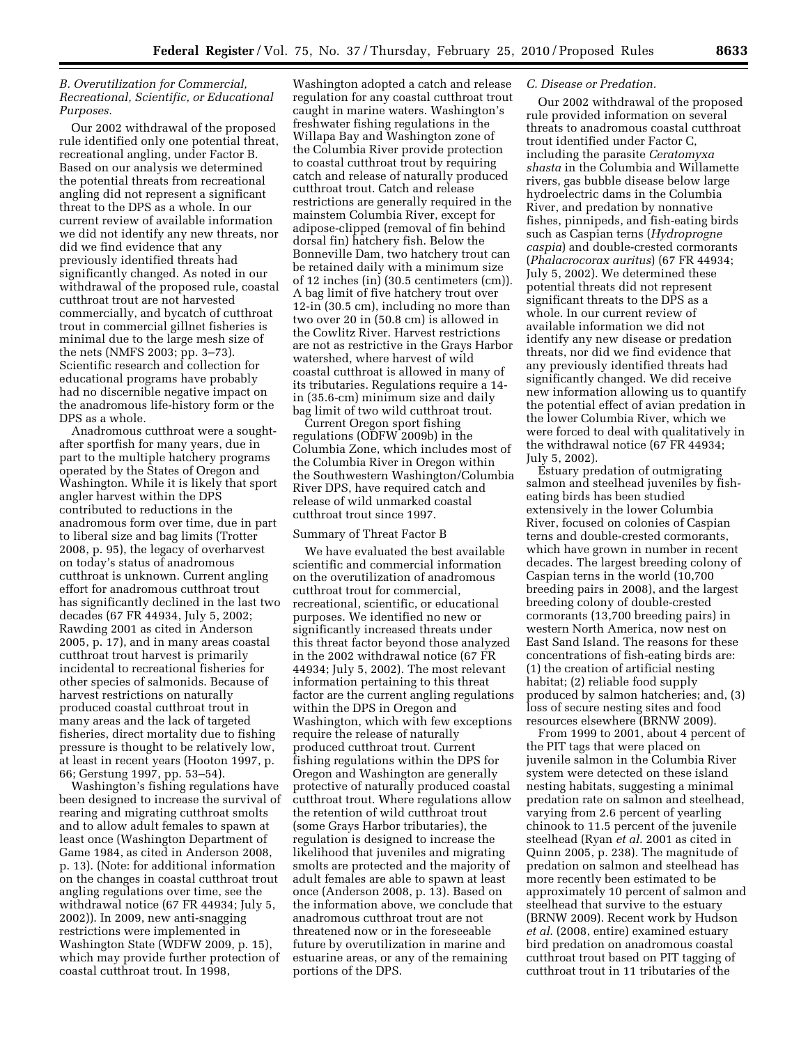# *B. Overutilization for Commercial, Recreational, Scientific, or Educational Purposes.*

Our 2002 withdrawal of the proposed rule identified only one potential threat, recreational angling, under Factor B. Based on our analysis we determined the potential threats from recreational angling did not represent a significant threat to the DPS as a whole. In our current review of available information we did not identify any new threats, nor did we find evidence that any previously identified threats had significantly changed. As noted in our withdrawal of the proposed rule, coastal cutthroat trout are not harvested commercially, and bycatch of cutthroat trout in commercial gillnet fisheries is minimal due to the large mesh size of the nets (NMFS 2003; pp. 3–73). Scientific research and collection for educational programs have probably had no discernible negative impact on the anadromous life-history form or the DPS as a whole.

Anadromous cutthroat were a soughtafter sportfish for many years, due in part to the multiple hatchery programs operated by the States of Oregon and Washington. While it is likely that sport angler harvest within the DPS contributed to reductions in the anadromous form over time, due in part to liberal size and bag limits (Trotter 2008, p. 95), the legacy of overharvest on today's status of anadromous cutthroat is unknown. Current angling effort for anadromous cutthroat trout has significantly declined in the last two decades (67 FR 44934, July 5, 2002; Rawding 2001 as cited in Anderson 2005, p. 17), and in many areas coastal cutthroat trout harvest is primarily incidental to recreational fisheries for other species of salmonids. Because of harvest restrictions on naturally produced coastal cutthroat trout in many areas and the lack of targeted fisheries, direct mortality due to fishing pressure is thought to be relatively low, at least in recent years (Hooton 1997, p. 66; Gerstung 1997, pp. 53–54).

Washington's fishing regulations have been designed to increase the survival of rearing and migrating cutthroat smolts and to allow adult females to spawn at least once (Washington Department of Game 1984, as cited in Anderson 2008, p. 13). (Note: for additional information on the changes in coastal cutthroat trout angling regulations over time, see the withdrawal notice (67 FR 44934; July 5, 2002)). In 2009, new anti-snagging restrictions were implemented in Washington State (WDFW 2009, p. 15), which may provide further protection of coastal cutthroat trout. In 1998,

Washington adopted a catch and release regulation for any coastal cutthroat trout caught in marine waters. Washington's freshwater fishing regulations in the Willapa Bay and Washington zone of the Columbia River provide protection to coastal cutthroat trout by requiring catch and release of naturally produced cutthroat trout. Catch and release restrictions are generally required in the mainstem Columbia River, except for adipose-clipped (removal of fin behind dorsal fin) hatchery fish. Below the Bonneville Dam, two hatchery trout can be retained daily with a minimum size of 12 inches (in) (30.5 centimeters (cm)). A bag limit of five hatchery trout over 12-in (30.5 cm), including no more than two over 20 in (50.8 cm) is allowed in the Cowlitz River. Harvest restrictions are not as restrictive in the Grays Harbor watershed, where harvest of wild coastal cutthroat is allowed in many of its tributaries. Regulations require a 14 in (35.6-cm) minimum size and daily bag limit of two wild cutthroat trout.

Current Oregon sport fishing regulations (ODFW 2009b) in the Columbia Zone, which includes most of the Columbia River in Oregon within the Southwestern Washington/Columbia River DPS, have required catch and release of wild unmarked coastal cutthroat trout since 1997.

### Summary of Threat Factor B

We have evaluated the best available scientific and commercial information on the overutilization of anadromous cutthroat trout for commercial, recreational, scientific, or educational purposes. We identified no new or significantly increased threats under this threat factor beyond those analyzed in the 2002 withdrawal notice (67 FR 44934; July 5, 2002). The most relevant information pertaining to this threat factor are the current angling regulations within the DPS in Oregon and Washington, which with few exceptions require the release of naturally produced cutthroat trout. Current fishing regulations within the DPS for Oregon and Washington are generally protective of naturally produced coastal cutthroat trout. Where regulations allow the retention of wild cutthroat trout (some Grays Harbor tributaries), the regulation is designed to increase the likelihood that juveniles and migrating smolts are protected and the majority of adult females are able to spawn at least once (Anderson 2008, p. 13). Based on the information above, we conclude that anadromous cutthroat trout are not threatened now or in the foreseeable future by overutilization in marine and estuarine areas, or any of the remaining portions of the DPS.

## *C. Disease or Predation.*

Our 2002 withdrawal of the proposed rule provided information on several threats to anadromous coastal cutthroat trout identified under Factor C, including the parasite *Ceratomyxa shasta* in the Columbia and Willamette rivers, gas bubble disease below large hydroelectric dams in the Columbia River, and predation by nonnative fishes, pinnipeds, and fish-eating birds such as Caspian terns (*Hydroprogne caspia*) and double-crested cormorants (*Phalacrocorax auritus*) (67 FR 44934; July 5, 2002). We determined these potential threats did not represent significant threats to the DPS as a whole. In our current review of available information we did not identify any new disease or predation threats, nor did we find evidence that any previously identified threats had significantly changed. We did receive new information allowing us to quantify the potential effect of avian predation in the lower Columbia River, which we were forced to deal with qualitatively in the withdrawal notice (67 FR 44934; July 5, 2002).

Estuary predation of outmigrating salmon and steelhead juveniles by fisheating birds has been studied extensively in the lower Columbia River, focused on colonies of Caspian terns and double-crested cormorants, which have grown in number in recent decades. The largest breeding colony of Caspian terns in the world (10,700 breeding pairs in 2008), and the largest breeding colony of double-crested cormorants (13,700 breeding pairs) in western North America, now nest on East Sand Island. The reasons for these concentrations of fish-eating birds are: (1) the creation of artificial nesting habitat; (2) reliable food supply produced by salmon hatcheries; and, (3) loss of secure nesting sites and food resources elsewhere (BRNW 2009).

From 1999 to 2001, about 4 percent of the PIT tags that were placed on juvenile salmon in the Columbia River system were detected on these island nesting habitats, suggesting a minimal predation rate on salmon and steelhead, varying from 2.6 percent of yearling chinook to 11.5 percent of the juvenile steelhead (Ryan *et al*. 2001 as cited in Quinn 2005, p. 238). The magnitude of predation on salmon and steelhead has more recently been estimated to be approximately 10 percent of salmon and steelhead that survive to the estuary (BRNW 2009). Recent work by Hudson *et al*. (2008, entire) examined estuary bird predation on anadromous coastal cutthroat trout based on PIT tagging of cutthroat trout in 11 tributaries of the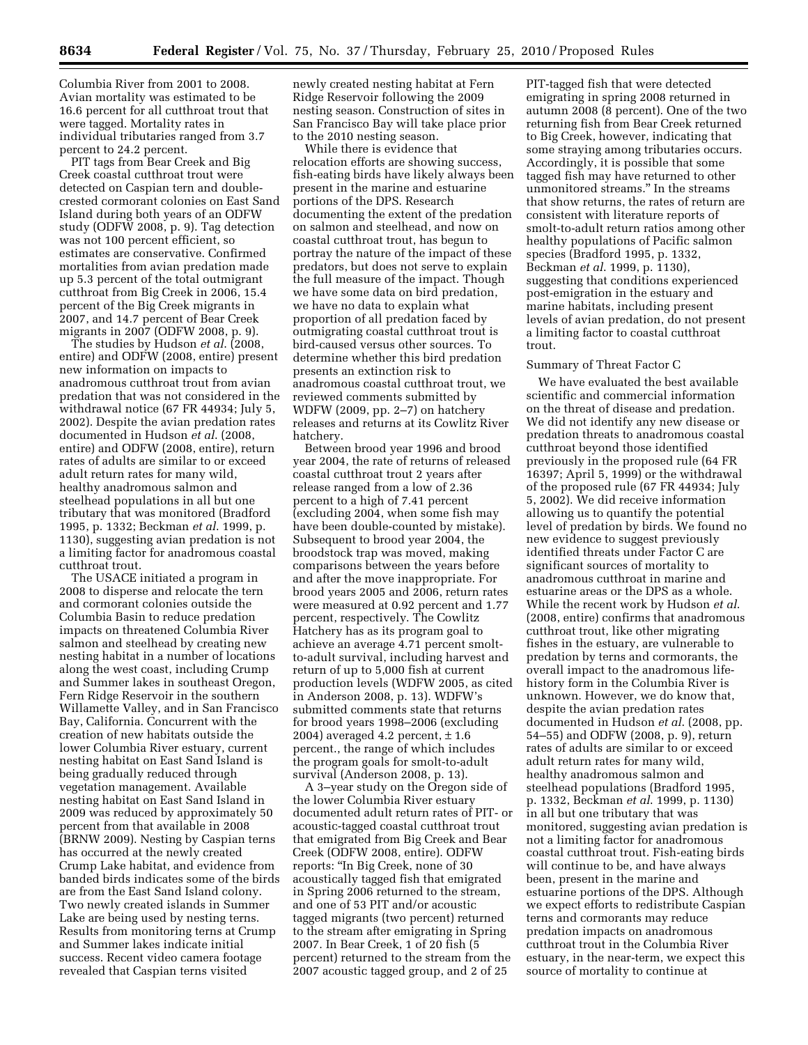Columbia River from 2001 to 2008. Avian mortality was estimated to be 16.6 percent for all cutthroat trout that were tagged. Mortality rates in individual tributaries ranged from 3.7 percent to 24.2 percent.

PIT tags from Bear Creek and Big Creek coastal cutthroat trout were detected on Caspian tern and doublecrested cormorant colonies on East Sand Island during both years of an ODFW study (ODFW 2008, p. 9). Tag detection was not 100 percent efficient, so estimates are conservative. Confirmed mortalities from avian predation made up 5.3 percent of the total outmigrant cutthroat from Big Creek in 2006, 15.4 percent of the Big Creek migrants in 2007, and 14.7 percent of Bear Creek migrants in 2007 (ODFW 2008, p. 9).

The studies by Hudson *et al*. (2008, entire) and ODFW (2008, entire) present new information on impacts to anadromous cutthroat trout from avian predation that was not considered in the withdrawal notice (67 FR 44934; July 5, 2002). Despite the avian predation rates documented in Hudson *et al*. (2008, entire) and ODFW (2008, entire), return rates of adults are similar to or exceed adult return rates for many wild, healthy anadromous salmon and steelhead populations in all but one tributary that was monitored (Bradford 1995, p. 1332; Beckman *et al*. 1999, p. 1130), suggesting avian predation is not a limiting factor for anadromous coastal cutthroat trout.

The USACE initiated a program in 2008 to disperse and relocate the tern and cormorant colonies outside the Columbia Basin to reduce predation impacts on threatened Columbia River salmon and steelhead by creating new nesting habitat in a number of locations along the west coast, including Crump and Summer lakes in southeast Oregon, Fern Ridge Reservoir in the southern Willamette Valley, and in San Francisco Bay, California. Concurrent with the creation of new habitats outside the lower Columbia River estuary, current nesting habitat on East Sand Island is being gradually reduced through vegetation management. Available nesting habitat on East Sand Island in 2009 was reduced by approximately 50 percent from that available in 2008 (BRNW 2009). Nesting by Caspian terns has occurred at the newly created Crump Lake habitat, and evidence from banded birds indicates some of the birds are from the East Sand Island colony. Two newly created islands in Summer Lake are being used by nesting terns. Results from monitoring terns at Crump and Summer lakes indicate initial success. Recent video camera footage revealed that Caspian terns visited

newly created nesting habitat at Fern Ridge Reservoir following the 2009 nesting season. Construction of sites in San Francisco Bay will take place prior to the 2010 nesting season.

While there is evidence that relocation efforts are showing success, fish-eating birds have likely always been present in the marine and estuarine portions of the DPS. Research documenting the extent of the predation on salmon and steelhead, and now on coastal cutthroat trout, has begun to portray the nature of the impact of these predators, but does not serve to explain the full measure of the impact. Though we have some data on bird predation, we have no data to explain what proportion of all predation faced by outmigrating coastal cutthroat trout is bird-caused versus other sources. To determine whether this bird predation presents an extinction risk to anadromous coastal cutthroat trout, we reviewed comments submitted by WDFW (2009, pp. 2–7) on hatchery releases and returns at its Cowlitz River hatchery.

Between brood year 1996 and brood year 2004, the rate of returns of released coastal cutthroat trout 2 years after release ranged from a low of 2.36 percent to a high of 7.41 percent (excluding 2004, when some fish may have been double-counted by mistake). Subsequent to brood year 2004, the broodstock trap was moved, making comparisons between the years before and after the move inappropriate. For brood years 2005 and 2006, return rates were measured at 0.92 percent and 1.77 percent, respectively. The Cowlitz Hatchery has as its program goal to achieve an average 4.71 percent smoltto-adult survival, including harvest and return of up to 5,000 fish at current production levels (WDFW 2005, as cited in Anderson 2008, p. 13). WDFW's submitted comments state that returns for brood years 1998–2006 (excluding 2004) averaged 4.2 percent,  $\pm 1.6$ percent., the range of which includes the program goals for smolt-to-adult survival (Anderson 2008, p. 13).

A 3–year study on the Oregon side of the lower Columbia River estuary documented adult return rates of PIT- or acoustic-tagged coastal cutthroat trout that emigrated from Big Creek and Bear Creek (ODFW 2008, entire). ODFW reports: ''In Big Creek, none of 30 acoustically tagged fish that emigrated in Spring 2006 returned to the stream, and one of 53 PIT and/or acoustic tagged migrants (two percent) returned to the stream after emigrating in Spring 2007. In Bear Creek, 1 of 20 fish (5 percent) returned to the stream from the 2007 acoustic tagged group, and 2 of 25

PIT-tagged fish that were detected emigrating in spring 2008 returned in autumn 2008 (8 percent). One of the two returning fish from Bear Creek returned to Big Creek, however, indicating that some straying among tributaries occurs. Accordingly, it is possible that some tagged fish may have returned to other unmonitored streams.'' In the streams that show returns, the rates of return are consistent with literature reports of smolt-to-adult return ratios among other healthy populations of Pacific salmon species (Bradford 1995, p. 1332, Beckman *et al*. 1999, p. 1130), suggesting that conditions experienced post-emigration in the estuary and marine habitats, including present levels of avian predation, do not present a limiting factor to coastal cutthroat trout.

## Summary of Threat Factor C

We have evaluated the best available scientific and commercial information on the threat of disease and predation. We did not identify any new disease or predation threats to anadromous coastal cutthroat beyond those identified previously in the proposed rule (64 FR 16397; April 5, 1999) or the withdrawal of the proposed rule (67 FR 44934; July 5, 2002). We did receive information allowing us to quantify the potential level of predation by birds. We found no new evidence to suggest previously identified threats under Factor C are significant sources of mortality to anadromous cutthroat in marine and estuarine areas or the DPS as a whole. While the recent work by Hudson *et al*. (2008, entire) confirms that anadromous cutthroat trout, like other migrating fishes in the estuary, are vulnerable to predation by terns and cormorants, the overall impact to the anadromous lifehistory form in the Columbia River is unknown. However, we do know that, despite the avian predation rates documented in Hudson *et al*. (2008, pp. 54–55) and ODFW (2008, p. 9), return rates of adults are similar to or exceed adult return rates for many wild, healthy anadromous salmon and steelhead populations (Bradford 1995, p. 1332, Beckman *et al*. 1999, p. 1130) in all but one tributary that was monitored, suggesting avian predation is not a limiting factor for anadromous coastal cutthroat trout. Fish-eating birds will continue to be, and have always been, present in the marine and estuarine portions of the DPS. Although we expect efforts to redistribute Caspian terns and cormorants may reduce predation impacts on anadromous cutthroat trout in the Columbia River estuary, in the near-term, we expect this source of mortality to continue at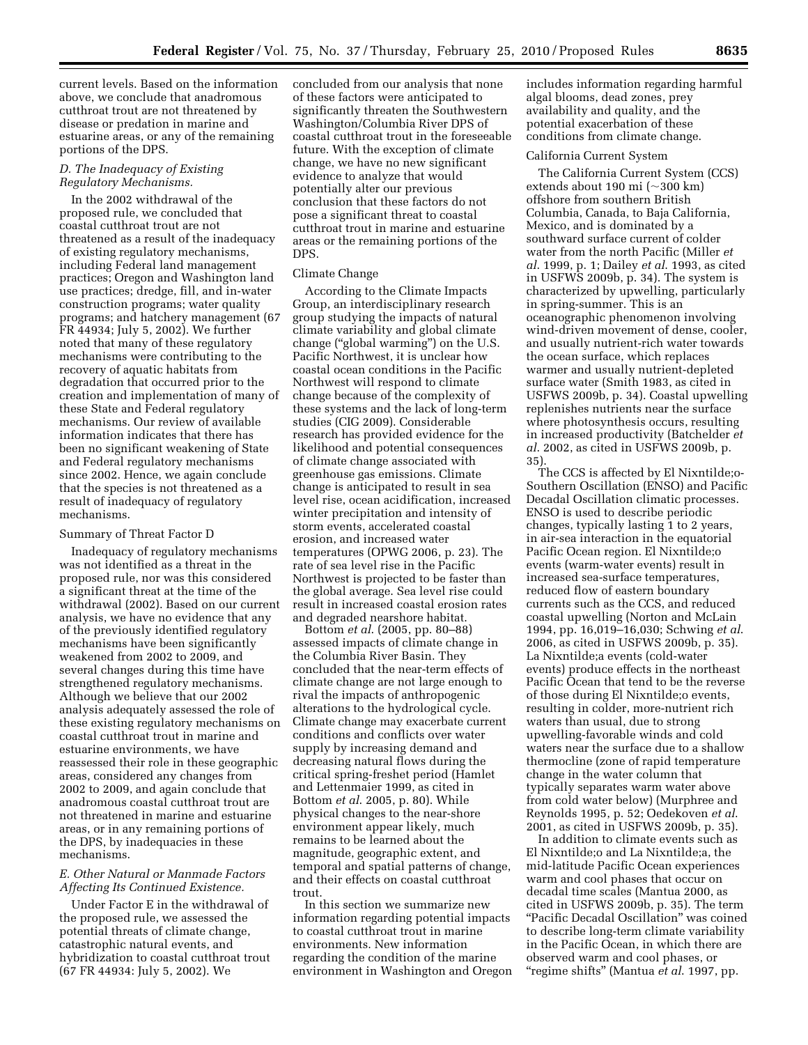current levels. Based on the information above, we conclude that anadromous cutthroat trout are not threatened by disease or predation in marine and estuarine areas, or any of the remaining portions of the DPS.

## *D. The Inadequacy of Existing Regulatory Mechanisms.*

In the 2002 withdrawal of the proposed rule, we concluded that coastal cutthroat trout are not threatened as a result of the inadequacy of existing regulatory mechanisms, including Federal land management practices; Oregon and Washington land use practices; dredge, fill, and in-water construction programs; water quality programs; and hatchery management (67 FR 44934; July 5, 2002). We further noted that many of these regulatory mechanisms were contributing to the recovery of aquatic habitats from degradation that occurred prior to the creation and implementation of many of these State and Federal regulatory mechanisms. Our review of available information indicates that there has been no significant weakening of State and Federal regulatory mechanisms since 2002. Hence, we again conclude that the species is not threatened as a result of inadequacy of regulatory mechanisms.

### Summary of Threat Factor D

Inadequacy of regulatory mechanisms was not identified as a threat in the proposed rule, nor was this considered a significant threat at the time of the withdrawal (2002). Based on our current analysis, we have no evidence that any of the previously identified regulatory mechanisms have been significantly weakened from 2002 to 2009, and several changes during this time have strengthened regulatory mechanisms. Although we believe that our 2002 analysis adequately assessed the role of these existing regulatory mechanisms on coastal cutthroat trout in marine and estuarine environments, we have reassessed their role in these geographic areas, considered any changes from 2002 to 2009, and again conclude that anadromous coastal cutthroat trout are not threatened in marine and estuarine areas, or in any remaining portions of the DPS, by inadequacies in these mechanisms.

## *E. Other Natural or Manmade Factors Affecting Its Continued Existence.*

Under Factor E in the withdrawal of the proposed rule, we assessed the potential threats of climate change, catastrophic natural events, and hybridization to coastal cutthroat trout (67 FR 44934: July 5, 2002). We

concluded from our analysis that none of these factors were anticipated to significantly threaten the Southwestern Washington/Columbia River DPS of coastal cutthroat trout in the foreseeable future. With the exception of climate change, we have no new significant evidence to analyze that would potentially alter our previous conclusion that these factors do not pose a significant threat to coastal cutthroat trout in marine and estuarine areas or the remaining portions of the DPS.

## Climate Change

According to the Climate Impacts Group, an interdisciplinary research group studying the impacts of natural climate variability and global climate change (''global warming'') on the U.S. Pacific Northwest, it is unclear how coastal ocean conditions in the Pacific Northwest will respond to climate change because of the complexity of these systems and the lack of long-term studies (CIG 2009). Considerable research has provided evidence for the likelihood and potential consequences of climate change associated with greenhouse gas emissions. Climate change is anticipated to result in sea level rise, ocean acidification, increased winter precipitation and intensity of storm events, accelerated coastal erosion, and increased water temperatures (OPWG 2006, p. 23). The rate of sea level rise in the Pacific Northwest is projected to be faster than the global average. Sea level rise could result in increased coastal erosion rates and degraded nearshore habitat.

Bottom *et al*. (2005, pp. 80–88) assessed impacts of climate change in the Columbia River Basin. They concluded that the near-term effects of climate change are not large enough to rival the impacts of anthropogenic alterations to the hydrological cycle. Climate change may exacerbate current conditions and conflicts over water supply by increasing demand and decreasing natural flows during the critical spring-freshet period (Hamlet and Lettenmaier 1999, as cited in Bottom *et al*. 2005, p. 80). While physical changes to the near-shore environment appear likely, much remains to be learned about the magnitude, geographic extent, and temporal and spatial patterns of change, and their effects on coastal cutthroat trout.

In this section we summarize new information regarding potential impacts to coastal cutthroat trout in marine environments. New information regarding the condition of the marine environment in Washington and Oregon

includes information regarding harmful algal blooms, dead zones, prey availability and quality, and the potential exacerbation of these conditions from climate change.

### California Current System

The California Current System (CCS) extends about 190 mi (~300 km) offshore from southern British Columbia, Canada, to Baja California, Mexico, and is dominated by a southward surface current of colder water from the north Pacific (Miller *et al*. 1999, p. 1; Dailey *et al*. 1993, as cited in USFWS 2009b, p. 34). The system is characterized by upwelling, particularly in spring-summer. This is an oceanographic phenomenon involving wind-driven movement of dense, cooler, and usually nutrient-rich water towards the ocean surface, which replaces warmer and usually nutrient-depleted surface water (Smith 1983, as cited in USFWS 2009b, p. 34). Coastal upwelling replenishes nutrients near the surface where photosynthesis occurs, resulting in increased productivity (Batchelder *et al*. 2002, as cited in USFWS 2009b, p. 35).

The CCS is affected by El Nixntilde;o-Southern Oscillation (ENSO) and Pacific Decadal Oscillation climatic processes. ENSO is used to describe periodic changes, typically lasting 1 to 2 years, in air-sea interaction in the equatorial Pacific Ocean region. El Nixntilde;o events (warm-water events) result in increased sea-surface temperatures, reduced flow of eastern boundary currents such as the CCS, and reduced coastal upwelling (Norton and McLain 1994, pp. 16,019–16,030; Schwing *et al*. 2006, as cited in USFWS 2009b, p. 35). La Nixntilde;a events (cold-water events) produce effects in the northeast Pacific Ocean that tend to be the reverse of those during El Nixntilde;o events, resulting in colder, more-nutrient rich waters than usual, due to strong upwelling-favorable winds and cold waters near the surface due to a shallow thermocline (zone of rapid temperature change in the water column that typically separates warm water above from cold water below) (Murphree and Reynolds 1995, p. 52; Oedekoven *et al*. 2001, as cited in USFWS 2009b, p. 35).

In addition to climate events such as El Nixntilde;o and La Nixntilde;a, the mid-latitude Pacific Ocean experiences warm and cool phases that occur on decadal time scales (Mantua 2000, as cited in USFWS 2009b, p. 35). The term ''Pacific Decadal Oscillation'' was coined to describe long-term climate variability in the Pacific Ocean, in which there are observed warm and cool phases, or ''regime shifts'' (Mantua *et al*. 1997, pp.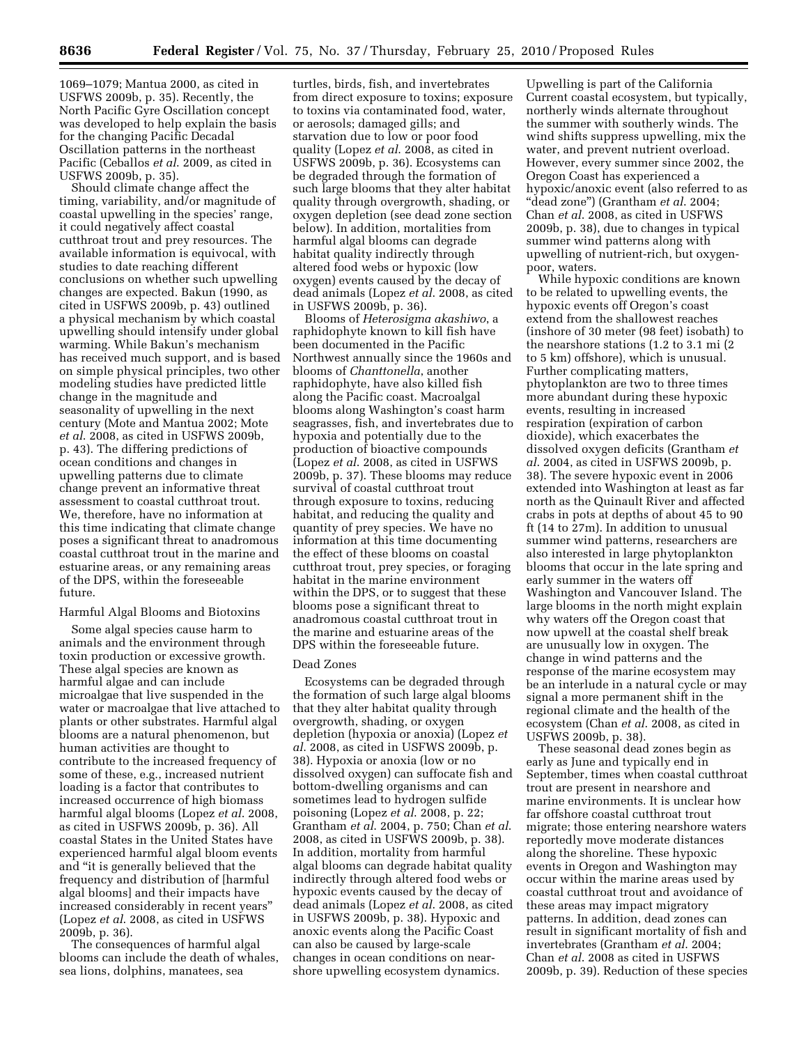1069–1079; Mantua 2000, as cited in USFWS 2009b, p. 35). Recently, the North Pacific Gyre Oscillation concept was developed to help explain the basis for the changing Pacific Decadal Oscillation patterns in the northeast Pacific (Ceballos *et al*. 2009, as cited in USFWS 2009b, p. 35).

Should climate change affect the timing, variability, and/or magnitude of coastal upwelling in the species' range, it could negatively affect coastal cutthroat trout and prey resources. The available information is equivocal, with studies to date reaching different conclusions on whether such upwelling changes are expected. Bakun (1990, as cited in USFWS 2009b, p. 43) outlined a physical mechanism by which coastal upwelling should intensify under global warming. While Bakun's mechanism has received much support, and is based on simple physical principles, two other modeling studies have predicted little change in the magnitude and seasonality of upwelling in the next century (Mote and Mantua 2002; Mote *et al*. 2008, as cited in USFWS 2009b, p. 43). The differing predictions of ocean conditions and changes in upwelling patterns due to climate change prevent an informative threat assessment to coastal cutthroat trout. We, therefore, have no information at this time indicating that climate change poses a significant threat to anadromous coastal cutthroat trout in the marine and estuarine areas, or any remaining areas of the DPS, within the foreseeable future.

### Harmful Algal Blooms and Biotoxins

Some algal species cause harm to animals and the environment through toxin production or excessive growth. These algal species are known as harmful algae and can include microalgae that live suspended in the water or macroalgae that live attached to plants or other substrates. Harmful algal blooms are a natural phenomenon, but human activities are thought to contribute to the increased frequency of some of these, e.g., increased nutrient loading is a factor that contributes to increased occurrence of high biomass harmful algal blooms (Lopez *et al*. 2008, as cited in USFWS 2009b, p. 36). All coastal States in the United States have experienced harmful algal bloom events and ''it is generally believed that the frequency and distribution of [harmful algal blooms] and their impacts have increased considerably in recent years'' (Lopez *et al*. 2008, as cited in USFWS 2009b, p. 36).

The consequences of harmful algal blooms can include the death of whales, sea lions, dolphins, manatees, sea

turtles, birds, fish, and invertebrates from direct exposure to toxins; exposure to toxins via contaminated food, water, or aerosols; damaged gills; and starvation due to low or poor food quality (Lopez *et al*. 2008, as cited in USFWS 2009b, p. 36). Ecosystems can be degraded through the formation of such large blooms that they alter habitat quality through overgrowth, shading, or oxygen depletion (see dead zone section below). In addition, mortalities from harmful algal blooms can degrade habitat quality indirectly through altered food webs or hypoxic (low oxygen) events caused by the decay of dead animals (Lopez *et al*. 2008, as cited in USFWS 2009b, p. 36).

Blooms of *Heterosigma akashiwo*, a raphidophyte known to kill fish have been documented in the Pacific Northwest annually since the 1960s and blooms of *Chanttonella*, another raphidophyte, have also killed fish along the Pacific coast. Macroalgal blooms along Washington's coast harm seagrasses, fish, and invertebrates due to hypoxia and potentially due to the production of bioactive compounds (Lopez *et al*. 2008, as cited in USFWS 2009b, p. 37). These blooms may reduce survival of coastal cutthroat trout through exposure to toxins, reducing habitat, and reducing the quality and quantity of prey species. We have no information at this time documenting the effect of these blooms on coastal cutthroat trout, prey species, or foraging habitat in the marine environment within the DPS, or to suggest that these blooms pose a significant threat to anadromous coastal cutthroat trout in the marine and estuarine areas of the DPS within the foreseeable future.

## Dead Zones

Ecosystems can be degraded through the formation of such large algal blooms that they alter habitat quality through overgrowth, shading, or oxygen depletion (hypoxia or anoxia) (Lopez *et al*. 2008, as cited in USFWS 2009b, p. 38). Hypoxia or anoxia (low or no dissolved oxygen) can suffocate fish and bottom-dwelling organisms and can sometimes lead to hydrogen sulfide poisoning (Lopez *et al*. 2008, p. 22; Grantham *et al*. 2004, p. 750; Chan *et al*. 2008, as cited in USFWS 2009b, p. 38). In addition, mortality from harmful algal blooms can degrade habitat quality indirectly through altered food webs or hypoxic events caused by the decay of dead animals (Lopez *et al*. 2008, as cited in USFWS 2009b, p. 38). Hypoxic and anoxic events along the Pacific Coast can also be caused by large-scale changes in ocean conditions on nearshore upwelling ecosystem dynamics.

Upwelling is part of the California Current coastal ecosystem, but typically, northerly winds alternate throughout the summer with southerly winds. The wind shifts suppress upwelling, mix the water, and prevent nutrient overload. However, every summer since 2002, the Oregon Coast has experienced a hypoxic/anoxic event (also referred to as ''dead zone'') (Grantham *et al*. 2004; Chan *et al*. 2008, as cited in USFWS 2009b, p. 38), due to changes in typical summer wind patterns along with upwelling of nutrient-rich, but oxygenpoor, waters.

While hypoxic conditions are known to be related to upwelling events, the hypoxic events off Oregon's coast extend from the shallowest reaches (inshore of 30 meter (98 feet) isobath) to the nearshore stations (1.2 to 3.1 mi (2 to 5 km) offshore), which is unusual. Further complicating matters, phytoplankton are two to three times more abundant during these hypoxic events, resulting in increased respiration (expiration of carbon dioxide), which exacerbates the dissolved oxygen deficits (Grantham *et al*. 2004, as cited in USFWS 2009b, p. 38). The severe hypoxic event in 2006 extended into Washington at least as far north as the Quinault River and affected crabs in pots at depths of about 45 to 90 ft (14 to 27m). In addition to unusual summer wind patterns, researchers are also interested in large phytoplankton blooms that occur in the late spring and early summer in the waters off Washington and Vancouver Island. The large blooms in the north might explain why waters off the Oregon coast that now upwell at the coastal shelf break are unusually low in oxygen. The change in wind patterns and the response of the marine ecosystem may be an interlude in a natural cycle or may signal a more permanent shift in the regional climate and the health of the ecosystem (Chan *et al*. 2008, as cited in USFWS 2009b, p. 38).

These seasonal dead zones begin as early as June and typically end in September, times when coastal cutthroat trout are present in nearshore and marine environments. It is unclear how far offshore coastal cutthroat trout migrate; those entering nearshore waters reportedly move moderate distances along the shoreline. These hypoxic events in Oregon and Washington may occur within the marine areas used by coastal cutthroat trout and avoidance of these areas may impact migratory patterns. In addition, dead zones can result in significant mortality of fish and invertebrates (Grantham *et al*. 2004; Chan *et al*. 2008 as cited in USFWS 2009b, p. 39). Reduction of these species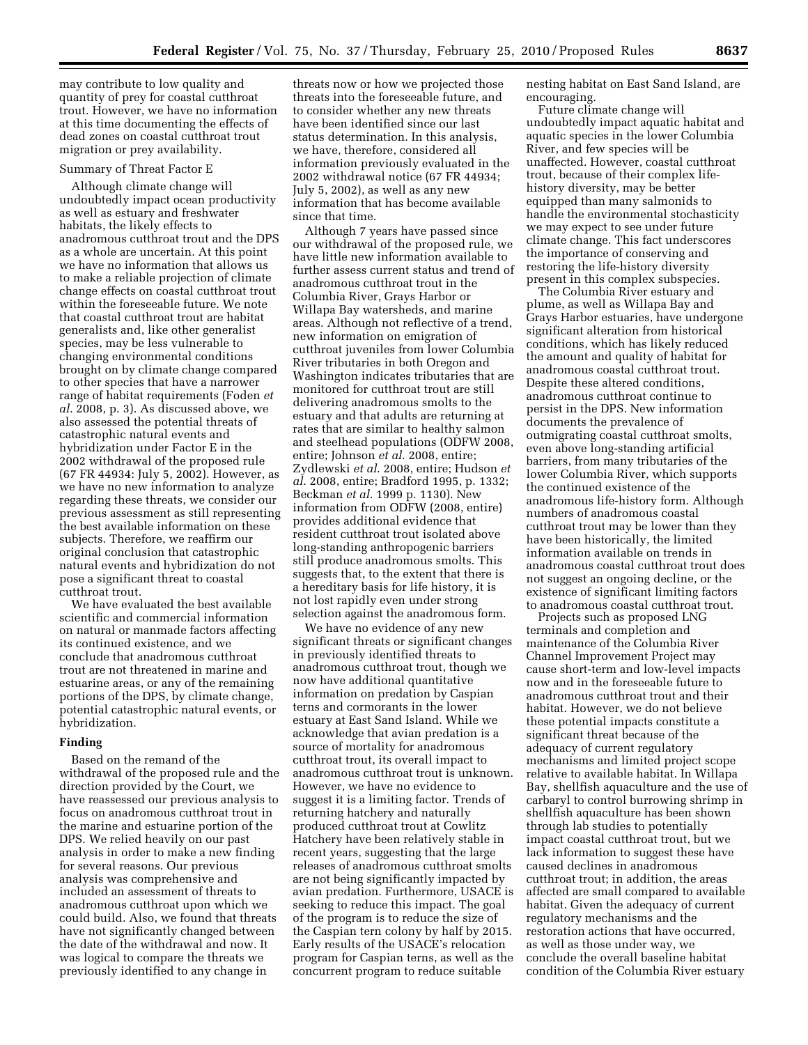may contribute to low quality and quantity of prey for coastal cutthroat trout. However, we have no information at this time documenting the effects of dead zones on coastal cutthroat trout migration or prey availability.

#### Summary of Threat Factor E

Although climate change will undoubtedly impact ocean productivity as well as estuary and freshwater habitats, the likely effects to anadromous cutthroat trout and the DPS as a whole are uncertain. At this point we have no information that allows us to make a reliable projection of climate change effects on coastal cutthroat trout within the foreseeable future. We note that coastal cutthroat trout are habitat generalists and, like other generalist species, may be less vulnerable to changing environmental conditions brought on by climate change compared to other species that have a narrower range of habitat requirements (Foden *et al*. 2008, p. 3). As discussed above, we also assessed the potential threats of catastrophic natural events and hybridization under Factor E in the 2002 withdrawal of the proposed rule (67 FR 44934: July 5, 2002). However, as we have no new information to analyze regarding these threats, we consider our previous assessment as still representing the best available information on these subjects. Therefore, we reaffirm our original conclusion that catastrophic natural events and hybridization do not pose a significant threat to coastal cutthroat trout.

We have evaluated the best available scientific and commercial information on natural or manmade factors affecting its continued existence, and we conclude that anadromous cutthroat trout are not threatened in marine and estuarine areas, or any of the remaining portions of the DPS, by climate change, potential catastrophic natural events, or hybridization.

## **Finding**

Based on the remand of the withdrawal of the proposed rule and the direction provided by the Court, we have reassessed our previous analysis to focus on anadromous cutthroat trout in the marine and estuarine portion of the DPS. We relied heavily on our past analysis in order to make a new finding for several reasons. Our previous analysis was comprehensive and included an assessment of threats to anadromous cutthroat upon which we could build. Also, we found that threats have not significantly changed between the date of the withdrawal and now. It was logical to compare the threats we previously identified to any change in

threats now or how we projected those threats into the foreseeable future, and to consider whether any new threats have been identified since our last status determination. In this analysis, we have, therefore, considered all information previously evaluated in the 2002 withdrawal notice (67 FR 44934; July 5, 2002), as well as any new information that has become available since that time.

Although 7 years have passed since our withdrawal of the proposed rule, we have little new information available to further assess current status and trend of anadromous cutthroat trout in the Columbia River, Grays Harbor or Willapa Bay watersheds, and marine areas. Although not reflective of a trend, new information on emigration of cutthroat juveniles from lower Columbia River tributaries in both Oregon and Washington indicates tributaries that are monitored for cutthroat trout are still delivering anadromous smolts to the estuary and that adults are returning at rates that are similar to healthy salmon and steelhead populations (ODFW 2008, entire; Johnson *et al*. 2008, entire; Zydlewski *et al*. 2008, entire; Hudson *et al*. 2008, entire; Bradford 1995, p. 1332; Beckman *et al*. 1999 p. 1130). New information from ODFW (2008, entire) provides additional evidence that resident cutthroat trout isolated above long-standing anthropogenic barriers still produce anadromous smolts. This suggests that, to the extent that there is a hereditary basis for life history, it is not lost rapidly even under strong selection against the anadromous form.

We have no evidence of any new significant threats or significant changes in previously identified threats to anadromous cutthroat trout, though we now have additional quantitative information on predation by Caspian terns and cormorants in the lower estuary at East Sand Island. While we acknowledge that avian predation is a source of mortality for anadromous cutthroat trout, its overall impact to anadromous cutthroat trout is unknown. However, we have no evidence to suggest it is a limiting factor. Trends of returning hatchery and naturally produced cutthroat trout at Cowlitz Hatchery have been relatively stable in recent years, suggesting that the large releases of anadromous cutthroat smolts are not being significantly impacted by avian predation. Furthermore, USACE is seeking to reduce this impact. The goal of the program is to reduce the size of the Caspian tern colony by half by 2015. Early results of the USACE's relocation program for Caspian terns, as well as the concurrent program to reduce suitable

nesting habitat on East Sand Island, are encouraging.

Future climate change will undoubtedly impact aquatic habitat and aquatic species in the lower Columbia River, and few species will be unaffected. However, coastal cutthroat trout, because of their complex lifehistory diversity, may be better equipped than many salmonids to handle the environmental stochasticity we may expect to see under future climate change. This fact underscores the importance of conserving and restoring the life-history diversity present in this complex subspecies.

The Columbia River estuary and plume, as well as Willapa Bay and Grays Harbor estuaries, have undergone significant alteration from historical conditions, which has likely reduced the amount and quality of habitat for anadromous coastal cutthroat trout. Despite these altered conditions, anadromous cutthroat continue to persist in the DPS. New information documents the prevalence of outmigrating coastal cutthroat smolts, even above long-standing artificial barriers, from many tributaries of the lower Columbia River, which supports the continued existence of the anadromous life-history form. Although numbers of anadromous coastal cutthroat trout may be lower than they have been historically, the limited information available on trends in anadromous coastal cutthroat trout does not suggest an ongoing decline, or the existence of significant limiting factors to anadromous coastal cutthroat trout.

Projects such as proposed LNG terminals and completion and maintenance of the Columbia River Channel Improvement Project may cause short-term and low-level impacts now and in the foreseeable future to anadromous cutthroat trout and their habitat. However, we do not believe these potential impacts constitute a significant threat because of the adequacy of current regulatory mechanisms and limited project scope relative to available habitat. In Willapa Bay, shellfish aquaculture and the use of carbaryl to control burrowing shrimp in shellfish aquaculture has been shown through lab studies to potentially impact coastal cutthroat trout, but we lack information to suggest these have caused declines in anadromous cutthroat trout; in addition, the areas affected are small compared to available habitat. Given the adequacy of current regulatory mechanisms and the restoration actions that have occurred, as well as those under way, we conclude the overall baseline habitat condition of the Columbia River estuary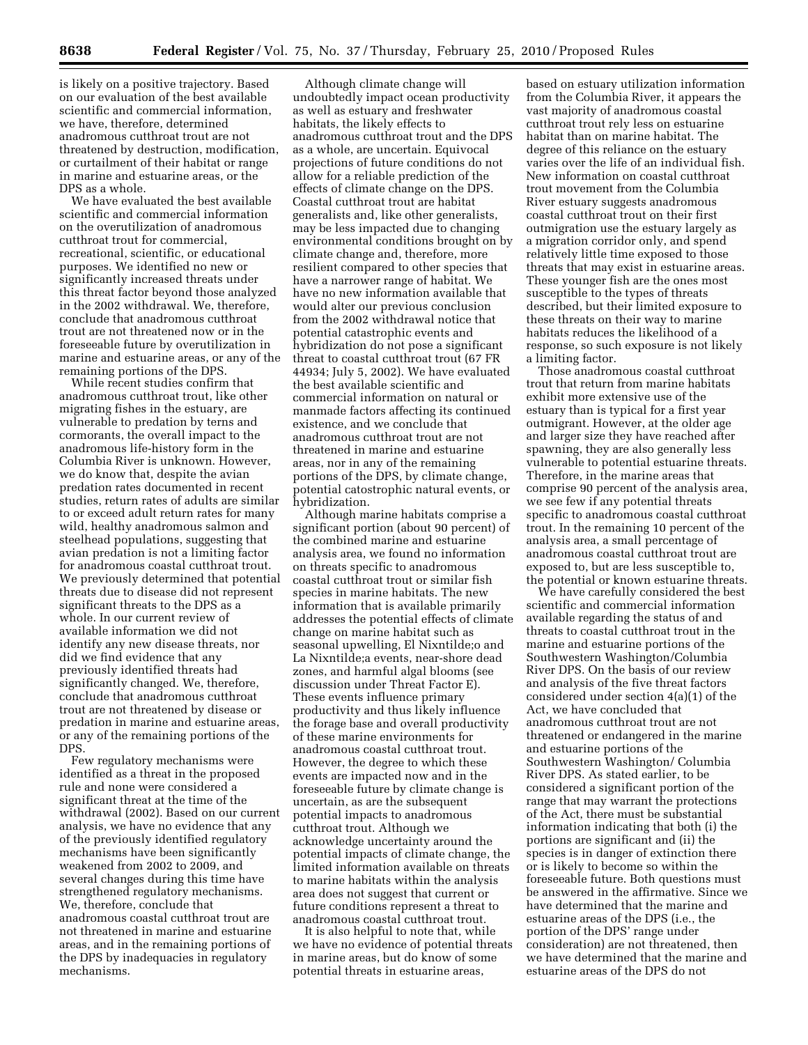is likely on a positive trajectory. Based on our evaluation of the best available scientific and commercial information, we have, therefore, determined anadromous cutthroat trout are not threatened by destruction, modification, or curtailment of their habitat or range in marine and estuarine areas, or the DPS as a whole.

We have evaluated the best available scientific and commercial information on the overutilization of anadromous cutthroat trout for commercial, recreational, scientific, or educational purposes. We identified no new or significantly increased threats under this threat factor beyond those analyzed in the 2002 withdrawal. We, therefore, conclude that anadromous cutthroat trout are not threatened now or in the foreseeable future by overutilization in marine and estuarine areas, or any of the remaining portions of the DPS.

While recent studies confirm that anadromous cutthroat trout, like other migrating fishes in the estuary, are vulnerable to predation by terns and cormorants, the overall impact to the anadromous life-history form in the Columbia River is unknown. However, we do know that, despite the avian predation rates documented in recent studies, return rates of adults are similar to or exceed adult return rates for many wild, healthy anadromous salmon and steelhead populations, suggesting that avian predation is not a limiting factor for anadromous coastal cutthroat trout. We previously determined that potential threats due to disease did not represent significant threats to the DPS as a whole. In our current review of available information we did not identify any new disease threats, nor did we find evidence that any previously identified threats had significantly changed. We, therefore, conclude that anadromous cutthroat trout are not threatened by disease or predation in marine and estuarine areas, or any of the remaining portions of the DPS.

Few regulatory mechanisms were identified as a threat in the proposed rule and none were considered a significant threat at the time of the withdrawal (2002). Based on our current analysis, we have no evidence that any of the previously identified regulatory mechanisms have been significantly weakened from 2002 to 2009, and several changes during this time have strengthened regulatory mechanisms. We, therefore, conclude that anadromous coastal cutthroat trout are not threatened in marine and estuarine areas, and in the remaining portions of the DPS by inadequacies in regulatory mechanisms.

Although climate change will undoubtedly impact ocean productivity as well as estuary and freshwater habitats, the likely effects to anadromous cutthroat trout and the DPS as a whole, are uncertain. Equivocal projections of future conditions do not allow for a reliable prediction of the effects of climate change on the DPS. Coastal cutthroat trout are habitat generalists and, like other generalists, may be less impacted due to changing environmental conditions brought on by climate change and, therefore, more resilient compared to other species that have a narrower range of habitat. We have no new information available that would alter our previous conclusion from the 2002 withdrawal notice that potential catastrophic events and hybridization do not pose a significant threat to coastal cutthroat trout (67 FR 44934; July 5, 2002). We have evaluated the best available scientific and commercial information on natural or manmade factors affecting its continued existence, and we conclude that anadromous cutthroat trout are not threatened in marine and estuarine areas, nor in any of the remaining portions of the DPS, by climate change, potential catostrophic natural events, or hybridization.

Although marine habitats comprise a significant portion (about 90 percent) of the combined marine and estuarine analysis area, we found no information on threats specific to anadromous coastal cutthroat trout or similar fish species in marine habitats. The new information that is available primarily addresses the potential effects of climate change on marine habitat such as seasonal upwelling, El Nixntilde;o and La Nixntilde;a events, near-shore dead zones, and harmful algal blooms (see discussion under Threat Factor E). These events influence primary productivity and thus likely influence the forage base and overall productivity of these marine environments for anadromous coastal cutthroat trout. However, the degree to which these events are impacted now and in the foreseeable future by climate change is uncertain, as are the subsequent potential impacts to anadromous cutthroat trout. Although we acknowledge uncertainty around the potential impacts of climate change, the limited information available on threats to marine habitats within the analysis area does not suggest that current or future conditions represent a threat to anadromous coastal cutthroat trout.

It is also helpful to note that, while we have no evidence of potential threats in marine areas, but do know of some potential threats in estuarine areas,

based on estuary utilization information from the Columbia River, it appears the vast majority of anadromous coastal cutthroat trout rely less on estuarine habitat than on marine habitat. The degree of this reliance on the estuary varies over the life of an individual fish. New information on coastal cutthroat trout movement from the Columbia River estuary suggests anadromous coastal cutthroat trout on their first outmigration use the estuary largely as a migration corridor only, and spend relatively little time exposed to those threats that may exist in estuarine areas. These younger fish are the ones most susceptible to the types of threats described, but their limited exposure to these threats on their way to marine habitats reduces the likelihood of a response, so such exposure is not likely a limiting factor.

Those anadromous coastal cutthroat trout that return from marine habitats exhibit more extensive use of the estuary than is typical for a first year outmigrant. However, at the older age and larger size they have reached after spawning, they are also generally less vulnerable to potential estuarine threats. Therefore, in the marine areas that comprise 90 percent of the analysis area, we see few if any potential threats specific to anadromous coastal cutthroat trout. In the remaining 10 percent of the analysis area, a small percentage of anadromous coastal cutthroat trout are exposed to, but are less susceptible to, the potential or known estuarine threats.

We have carefully considered the best scientific and commercial information available regarding the status of and threats to coastal cutthroat trout in the marine and estuarine portions of the Southwestern Washington/Columbia River DPS. On the basis of our review and analysis of the five threat factors considered under section 4(a)(1) of the Act, we have concluded that anadromous cutthroat trout are not threatened or endangered in the marine and estuarine portions of the Southwestern Washington/ Columbia River DPS. As stated earlier, to be considered a significant portion of the range that may warrant the protections of the Act, there must be substantial information indicating that both (i) the portions are significant and (ii) the species is in danger of extinction there or is likely to become so within the foreseeable future. Both questions must be answered in the affirmative. Since we have determined that the marine and estuarine areas of the DPS (i.e., the portion of the DPS' range under consideration) are not threatened, then we have determined that the marine and estuarine areas of the DPS do not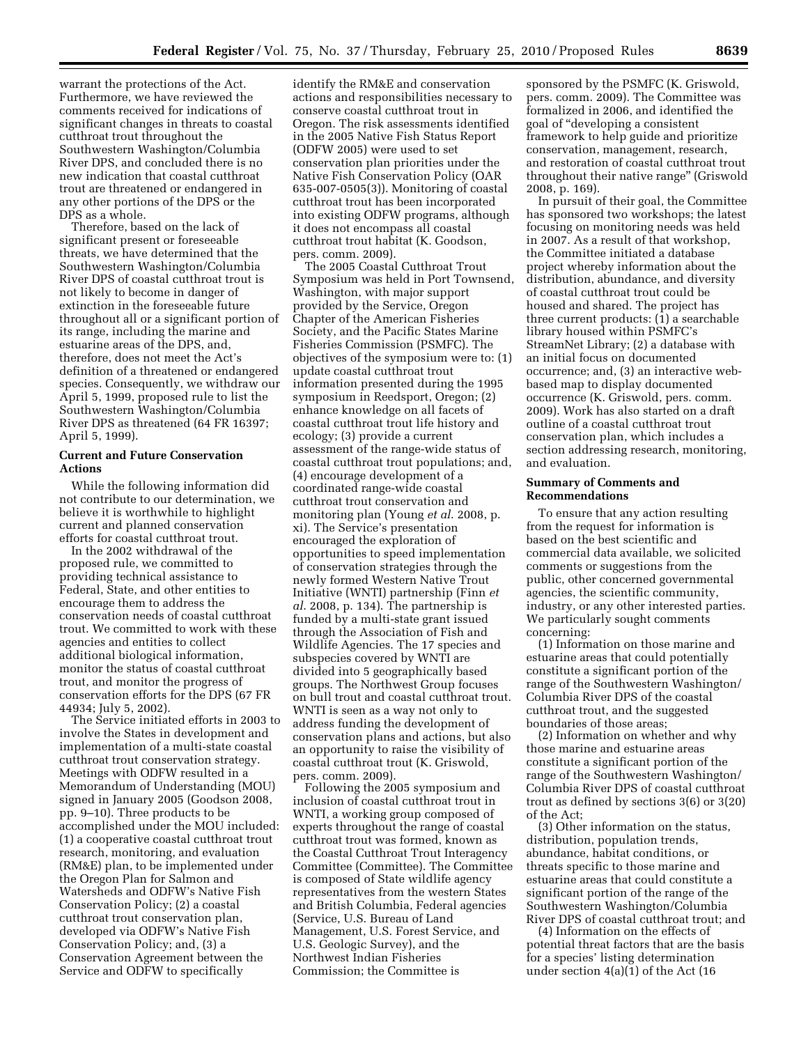warrant the protections of the Act. Furthermore, we have reviewed the comments received for indications of significant changes in threats to coastal cutthroat trout throughout the Southwestern Washington/Columbia River DPS, and concluded there is no new indication that coastal cutthroat trout are threatened or endangered in any other portions of the DPS or the DPS as a whole.

Therefore, based on the lack of significant present or foreseeable threats, we have determined that the Southwestern Washington/Columbia River DPS of coastal cutthroat trout is not likely to become in danger of extinction in the foreseeable future throughout all or a significant portion of its range, including the marine and estuarine areas of the DPS, and, therefore, does not meet the Act's definition of a threatened or endangered species. Consequently, we withdraw our April 5, 1999, proposed rule to list the Southwestern Washington/Columbia River DPS as threatened (64 FR 16397; April 5, 1999).

## **Current and Future Conservation Actions**

While the following information did not contribute to our determination, we believe it is worthwhile to highlight current and planned conservation efforts for coastal cutthroat trout.

In the 2002 withdrawal of the proposed rule, we committed to providing technical assistance to Federal, State, and other entities to encourage them to address the conservation needs of coastal cutthroat trout. We committed to work with these agencies and entities to collect additional biological information, monitor the status of coastal cutthroat trout, and monitor the progress of conservation efforts for the DPS (67 FR 44934; July 5, 2002).

The Service initiated efforts in 2003 to involve the States in development and implementation of a multi-state coastal cutthroat trout conservation strategy. Meetings with ODFW resulted in a Memorandum of Understanding (MOU) signed in January 2005 (Goodson 2008, pp. 9–10). Three products to be accomplished under the MOU included: (1) a cooperative coastal cutthroat trout research, monitoring, and evaluation (RM&E) plan, to be implemented under the Oregon Plan for Salmon and Watersheds and ODFW's Native Fish Conservation Policy; (2) a coastal cutthroat trout conservation plan, developed via ODFW's Native Fish Conservation Policy; and, (3) a Conservation Agreement between the Service and ODFW to specifically

identify the RM&E and conservation actions and responsibilities necessary to conserve coastal cutthroat trout in Oregon. The risk assessments identified in the 2005 Native Fish Status Report (ODFW 2005) were used to set conservation plan priorities under the Native Fish Conservation Policy (OAR 635-007-0505(3)). Monitoring of coastal cutthroat trout has been incorporated into existing ODFW programs, although it does not encompass all coastal cutthroat trout habitat (K. Goodson, pers. comm. 2009).

The 2005 Coastal Cutthroat Trout Symposium was held in Port Townsend, Washington, with major support provided by the Service, Oregon Chapter of the American Fisheries Society, and the Pacific States Marine Fisheries Commission (PSMFC). The objectives of the symposium were to: (1) update coastal cutthroat trout information presented during the 1995 symposium in Reedsport, Oregon; (2) enhance knowledge on all facets of coastal cutthroat trout life history and ecology; (3) provide a current assessment of the range-wide status of coastal cutthroat trout populations; and, (4) encourage development of a coordinated range-wide coastal cutthroat trout conservation and monitoring plan (Young *et al*. 2008, p. xi). The Service's presentation encouraged the exploration of opportunities to speed implementation of conservation strategies through the newly formed Western Native Trout Initiative (WNTI) partnership (Finn *et al*. 2008, p. 134). The partnership is funded by a multi-state grant issued through the Association of Fish and Wildlife Agencies. The 17 species and subspecies covered by WNTI are divided into 5 geographically based groups. The Northwest Group focuses on bull trout and coastal cutthroat trout. WNTI is seen as a way not only to address funding the development of conservation plans and actions, but also an opportunity to raise the visibility of coastal cutthroat trout (K. Griswold, pers. comm. 2009).

Following the 2005 symposium and inclusion of coastal cutthroat trout in WNTI, a working group composed of experts throughout the range of coastal cutthroat trout was formed, known as the Coastal Cutthroat Trout Interagency Committee (Committee). The Committee is composed of State wildlife agency representatives from the western States and British Columbia, Federal agencies (Service, U.S. Bureau of Land Management, U.S. Forest Service, and U.S. Geologic Survey), and the Northwest Indian Fisheries Commission; the Committee is

sponsored by the PSMFC (K. Griswold, pers. comm. 2009). The Committee was formalized in 2006, and identified the goal of ''developing a consistent framework to help guide and prioritize conservation, management, research, and restoration of coastal cutthroat trout throughout their native range'' (Griswold 2008, p. 169).

In pursuit of their goal, the Committee has sponsored two workshops; the latest focusing on monitoring needs was held in 2007. As a result of that workshop, the Committee initiated a database project whereby information about the distribution, abundance, and diversity of coastal cutthroat trout could be housed and shared. The project has three current products: (1) a searchable library housed within PSMFC's StreamNet Library; (2) a database with an initial focus on documented occurrence; and, (3) an interactive webbased map to display documented occurrence (K. Griswold, pers. comm. 2009). Work has also started on a draft outline of a coastal cutthroat trout conservation plan, which includes a section addressing research, monitoring, and evaluation.

### **Summary of Comments and Recommendations**

To ensure that any action resulting from the request for information is based on the best scientific and commercial data available, we solicited comments or suggestions from the public, other concerned governmental agencies, the scientific community, industry, or any other interested parties. We particularly sought comments concerning:

(1) Information on those marine and estuarine areas that could potentially constitute a significant portion of the range of the Southwestern Washington/ Columbia River DPS of the coastal cutthroat trout, and the suggested boundaries of those areas;

(2) Information on whether and why those marine and estuarine areas constitute a significant portion of the range of the Southwestern Washington/ Columbia River DPS of coastal cutthroat trout as defined by sections 3(6) or 3(20) of the Act;

(3) Other information on the status, distribution, population trends, abundance, habitat conditions, or threats specific to those marine and estuarine areas that could constitute a significant portion of the range of the Southwestern Washington/Columbia River DPS of coastal cutthroat trout; and

(4) Information on the effects of potential threat factors that are the basis for a species' listing determination under section 4(a)(1) of the Act (16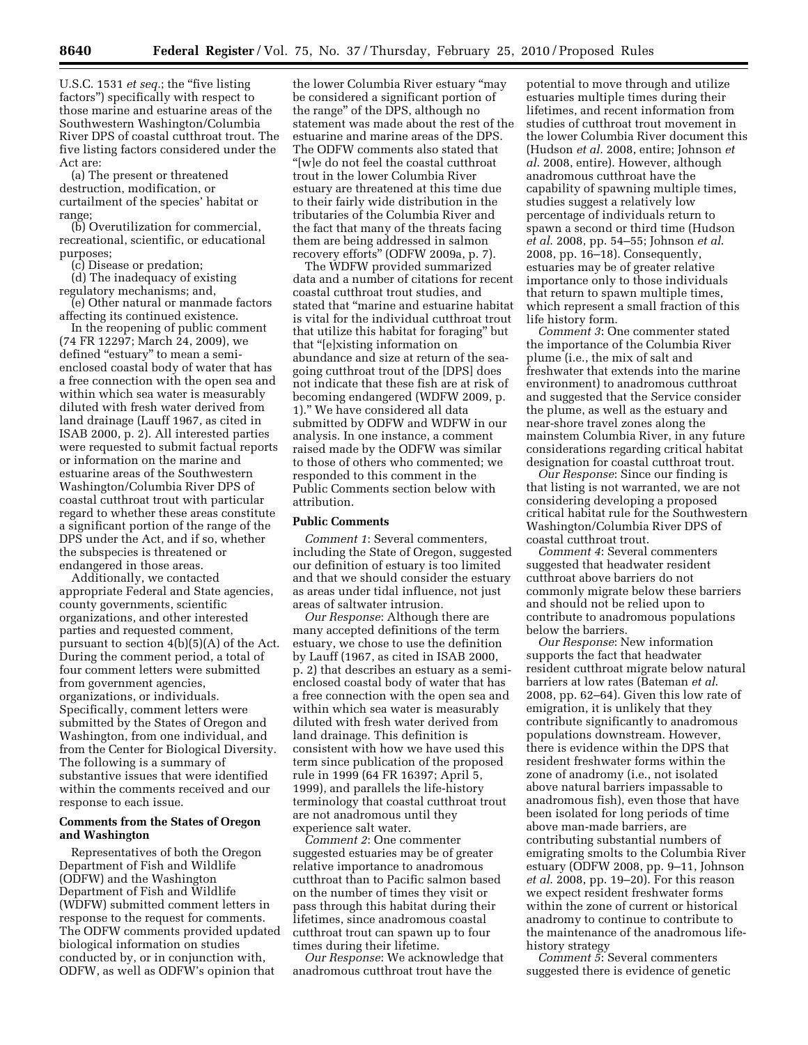U.S.C. 1531 *et seq.*; the "five listing factors'') specifically with respect to those marine and estuarine areas of the Southwestern Washington/Columbia River DPS of coastal cutthroat trout. The five listing factors considered under the Act are:

(a) The present or threatened destruction, modification, or curtailment of the species' habitat or range;

(b) Overutilization for commercial, recreational, scientific, or educational purposes;

(c) Disease or predation;

(d) The inadequacy of existing regulatory mechanisms; and,

(e) Other natural or manmade factors affecting its continued existence.

In the reopening of public comment (74 FR 12297; March 24, 2009), we defined "estuary" to mean a semienclosed coastal body of water that has a free connection with the open sea and within which sea water is measurably diluted with fresh water derived from land drainage (Lauff 1967, as cited in ISAB 2000, p. 2). All interested parties were requested to submit factual reports or information on the marine and estuarine areas of the Southwestern Washington/Columbia River DPS of coastal cutthroat trout with particular regard to whether these areas constitute a significant portion of the range of the DPS under the Act, and if so, whether the subspecies is threatened or endangered in those areas.

Additionally, we contacted appropriate Federal and State agencies, county governments, scientific organizations, and other interested parties and requested comment, pursuant to section 4(b)(5)(A) of the Act. During the comment period, a total of four comment letters were submitted from government agencies, organizations, or individuals. Specifically, comment letters were submitted by the States of Oregon and Washington, from one individual, and from the Center for Biological Diversity. The following is a summary of substantive issues that were identified within the comments received and our response to each issue.

# **Comments from the States of Oregon and Washington**

Representatives of both the Oregon Department of Fish and Wildlife (ODFW) and the Washington Department of Fish and Wildlife (WDFW) submitted comment letters in response to the request for comments. The ODFW comments provided updated biological information on studies conducted by, or in conjunction with, ODFW, as well as ODFW's opinion that

the lower Columbia River estuary ''may be considered a significant portion of the range'' of the DPS, although no statement was made about the rest of the estuarine and marine areas of the DPS. The ODFW comments also stated that ''[w]e do not feel the coastal cutthroat trout in the lower Columbia River estuary are threatened at this time due to their fairly wide distribution in the tributaries of the Columbia River and the fact that many of the threats facing them are being addressed in salmon recovery efforts'' (ODFW 2009a, p. 7).

The WDFW provided summarized data and a number of citations for recent coastal cutthroat trout studies, and stated that ''marine and estuarine habitat is vital for the individual cutthroat trout that utilize this habitat for foraging'' but that ''[e]xisting information on abundance and size at return of the seagoing cutthroat trout of the [DPS] does not indicate that these fish are at risk of becoming endangered (WDFW 2009, p. 1).'' We have considered all data submitted by ODFW and WDFW in our analysis. In one instance, a comment raised made by the ODFW was similar to those of others who commented; we responded to this comment in the Public Comments section below with attribution.

#### **Public Comments**

*Comment 1*: Several commenters, including the State of Oregon, suggested our definition of estuary is too limited and that we should consider the estuary as areas under tidal influence, not just areas of saltwater intrusion.

*Our Response*: Although there are many accepted definitions of the term estuary, we chose to use the definition by Lauff (1967, as cited in ISAB 2000, p. 2) that describes an estuary as a semienclosed coastal body of water that has a free connection with the open sea and within which sea water is measurably diluted with fresh water derived from land drainage. This definition is consistent with how we have used this term since publication of the proposed rule in 1999 (64 FR 16397; April 5, 1999), and parallels the life-history terminology that coastal cutthroat trout are not anadromous until they experience salt water.

*Comment 2*: One commenter suggested estuaries may be of greater relative importance to anadromous cutthroat than to Pacific salmon based on the number of times they visit or pass through this habitat during their lifetimes, since anadromous coastal cutthroat trout can spawn up to four times during their lifetime.

*Our Response*: We acknowledge that anadromous cutthroat trout have the

potential to move through and utilize estuaries multiple times during their lifetimes, and recent information from studies of cutthroat trout movement in the lower Columbia River document this (Hudson *et al*. 2008, entire; Johnson *et al*. 2008, entire). However, although anadromous cutthroat have the capability of spawning multiple times, studies suggest a relatively low percentage of individuals return to spawn a second or third time (Hudson *et al*. 2008, pp. 54–55; Johnson *et al*. 2008, pp. 16–18). Consequently, estuaries may be of greater relative importance only to those individuals that return to spawn multiple times, which represent a small fraction of this life history form.

*Comment 3*: One commenter stated the importance of the Columbia River plume (i.e., the mix of salt and freshwater that extends into the marine environment) to anadromous cutthroat and suggested that the Service consider the plume, as well as the estuary and near-shore travel zones along the mainstem Columbia River, in any future considerations regarding critical habitat designation for coastal cutthroat trout.

*Our Response*: Since our finding is that listing is not warranted, we are not considering developing a proposed critical habitat rule for the Southwestern Washington/Columbia River DPS of coastal cutthroat trout.

*Comment 4*: Several commenters suggested that headwater resident cutthroat above barriers do not commonly migrate below these barriers and should not be relied upon to contribute to anadromous populations below the barriers.

*Our Response*: New information supports the fact that headwater resident cutthroat migrate below natural barriers at low rates (Bateman *et al*. 2008, pp. 62–64). Given this low rate of emigration, it is unlikely that they contribute significantly to anadromous populations downstream. However, there is evidence within the DPS that resident freshwater forms within the zone of anadromy (i.e., not isolated above natural barriers impassable to anadromous fish), even those that have been isolated for long periods of time above man-made barriers, are contributing substantial numbers of emigrating smolts to the Columbia River estuary (ODFW 2008, pp. 9–11, Johnson *et al*. 2008, pp. 19–20). For this reason we expect resident freshwater forms within the zone of current or historical anadromy to continue to contribute to the maintenance of the anadromous lifehistory strategy

*Comment 5*: Several commenters suggested there is evidence of genetic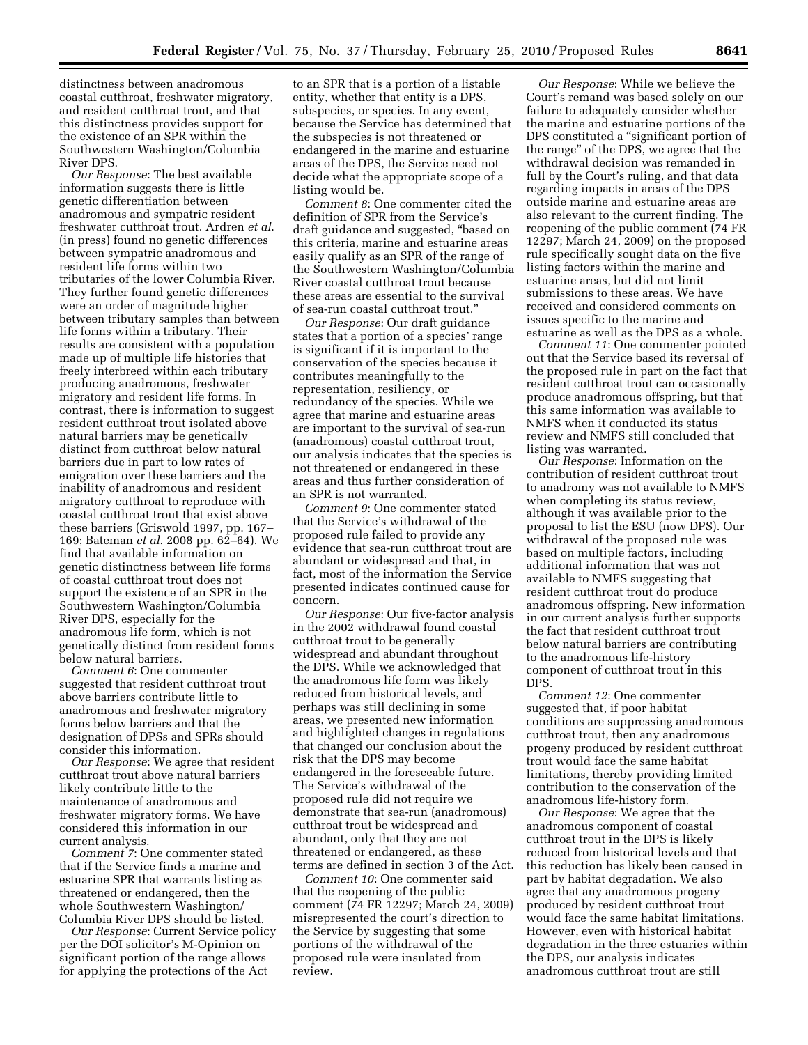distinctness between anadromous coastal cutthroat, freshwater migratory, and resident cutthroat trout, and that this distinctness provides support for the existence of an SPR within the Southwestern Washington/Columbia River DPS.

*Our Response*: The best available information suggests there is little genetic differentiation between anadromous and sympatric resident freshwater cutthroat trout. Ardren *et al*. (in press) found no genetic differences between sympatric anadromous and resident life forms within two tributaries of the lower Columbia River. They further found genetic differences were an order of magnitude higher between tributary samples than between life forms within a tributary. Their results are consistent with a population made up of multiple life histories that freely interbreed within each tributary producing anadromous, freshwater migratory and resident life forms. In contrast, there is information to suggest resident cutthroat trout isolated above natural barriers may be genetically distinct from cutthroat below natural barriers due in part to low rates of emigration over these barriers and the inability of anadromous and resident migratory cutthroat to reproduce with coastal cutthroat trout that exist above these barriers (Griswold 1997, pp. 167– 169; Bateman *et al*. 2008 pp. 62–64). We find that available information on genetic distinctness between life forms of coastal cutthroat trout does not support the existence of an SPR in the Southwestern Washington/Columbia River DPS, especially for the anadromous life form, which is not genetically distinct from resident forms below natural barriers.

*Comment 6*: One commenter suggested that resident cutthroat trout above barriers contribute little to anadromous and freshwater migratory forms below barriers and that the designation of DPSs and SPRs should consider this information.

*Our Response*: We agree that resident cutthroat trout above natural barriers likely contribute little to the maintenance of anadromous and freshwater migratory forms. We have considered this information in our current analysis.

*Comment 7*: One commenter stated that if the Service finds a marine and estuarine SPR that warrants listing as threatened or endangered, then the whole Southwestern Washington/ Columbia River DPS should be listed.

*Our Response*: Current Service policy per the DOI solicitor's M-Opinion on significant portion of the range allows for applying the protections of the Act

to an SPR that is a portion of a listable entity, whether that entity is a DPS, subspecies, or species. In any event, because the Service has determined that the subspecies is not threatened or endangered in the marine and estuarine areas of the DPS, the Service need not decide what the appropriate scope of a listing would be.

*Comment 8*: One commenter cited the definition of SPR from the Service's draft guidance and suggested, ''based on this criteria, marine and estuarine areas easily qualify as an SPR of the range of the Southwestern Washington/Columbia River coastal cutthroat trout because these areas are essential to the survival of sea-run coastal cutthroat trout.''

*Our Response*: Our draft guidance states that a portion of a species' range is significant if it is important to the conservation of the species because it contributes meaningfully to the representation, resiliency, or redundancy of the species. While we agree that marine and estuarine areas are important to the survival of sea-run (anadromous) coastal cutthroat trout, our analysis indicates that the species is not threatened or endangered in these areas and thus further consideration of an SPR is not warranted.

*Comment 9*: One commenter stated that the Service's withdrawal of the proposed rule failed to provide any evidence that sea-run cutthroat trout are abundant or widespread and that, in fact, most of the information the Service presented indicates continued cause for concern.

*Our Response*: Our five-factor analysis in the 2002 withdrawal found coastal cutthroat trout to be generally widespread and abundant throughout the DPS. While we acknowledged that the anadromous life form was likely reduced from historical levels, and perhaps was still declining in some areas, we presented new information and highlighted changes in regulations that changed our conclusion about the risk that the DPS may become endangered in the foreseeable future. The Service's withdrawal of the proposed rule did not require we demonstrate that sea-run (anadromous) cutthroat trout be widespread and abundant, only that they are not threatened or endangered, as these terms are defined in section 3 of the Act.

*Comment 10*: One commenter said that the reopening of the public comment (74 FR 12297; March 24, 2009) misrepresented the court's direction to the Service by suggesting that some portions of the withdrawal of the proposed rule were insulated from review.

*Our Response*: While we believe the Court's remand was based solely on our failure to adequately consider whether the marine and estuarine portions of the DPS constituted a ''significant portion of the range'' of the DPS, we agree that the withdrawal decision was remanded in full by the Court's ruling, and that data regarding impacts in areas of the DPS outside marine and estuarine areas are also relevant to the current finding. The reopening of the public comment (74 FR 12297; March 24, 2009) on the proposed rule specifically sought data on the five listing factors within the marine and estuarine areas, but did not limit submissions to these areas. We have received and considered comments on issues specific to the marine and estuarine as well as the DPS as a whole.

*Comment 11*: One commenter pointed out that the Service based its reversal of the proposed rule in part on the fact that resident cutthroat trout can occasionally produce anadromous offspring, but that this same information was available to NMFS when it conducted its status review and NMFS still concluded that listing was warranted.

*Our Response*: Information on the contribution of resident cutthroat trout to anadromy was not available to NMFS when completing its status review, although it was available prior to the proposal to list the ESU (now DPS). Our withdrawal of the proposed rule was based on multiple factors, including additional information that was not available to NMFS suggesting that resident cutthroat trout do produce anadromous offspring. New information in our current analysis further supports the fact that resident cutthroat trout below natural barriers are contributing to the anadromous life-history component of cutthroat trout in this DPS.

*Comment 12*: One commenter suggested that, if poor habitat conditions are suppressing anadromous cutthroat trout, then any anadromous progeny produced by resident cutthroat trout would face the same habitat limitations, thereby providing limited contribution to the conservation of the anadromous life-history form.

*Our Response*: We agree that the anadromous component of coastal cutthroat trout in the DPS is likely reduced from historical levels and that this reduction has likely been caused in part by habitat degradation. We also agree that any anadromous progeny produced by resident cutthroat trout would face the same habitat limitations. However, even with historical habitat degradation in the three estuaries within the DPS, our analysis indicates anadromous cutthroat trout are still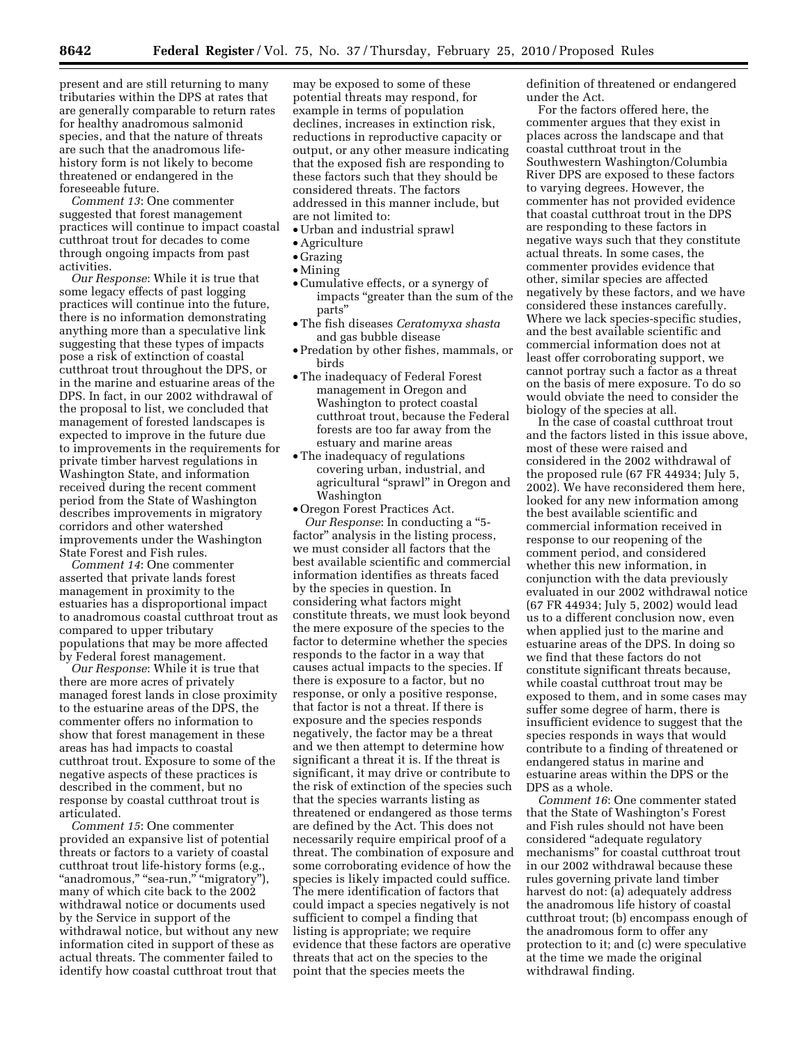present and are still returning to many tributaries within the DPS at rates that are generally comparable to return rates for healthy anadromous salmonid species, and that the nature of threats are such that the anadromous lifehistory form is not likely to become threatened or endangered in the foreseeable future.

*Comment 13*: One commenter suggested that forest management practices will continue to impact coastal cutthroat trout for decades to come through ongoing impacts from past activities.

*Our Response*: While it is true that some legacy effects of past logging practices will continue into the future, there is no information demonstrating anything more than a speculative link suggesting that these types of impacts pose a risk of extinction of coastal cutthroat trout throughout the DPS, or in the marine and estuarine areas of the DPS. In fact, in our 2002 withdrawal of the proposal to list, we concluded that management of forested landscapes is expected to improve in the future due to improvements in the requirements for private timber harvest regulations in Washington State, and information received during the recent comment period from the State of Washington describes improvements in migratory corridors and other watershed improvements under the Washington State Forest and Fish rules.

*Comment 14*: One commenter asserted that private lands forest management in proximity to the estuaries has a disproportional impact to anadromous coastal cutthroat trout as compared to upper tributary populations that may be more affected by Federal forest management.

*Our Response*: While it is true that there are more acres of privately managed forest lands in close proximity to the estuarine areas of the DPS, the commenter offers no information to show that forest management in these areas has had impacts to coastal cutthroat trout. Exposure to some of the negative aspects of these practices is described in the comment, but no response by coastal cutthroat trout is articulated.

*Comment 15*: One commenter provided an expansive list of potential threats or factors to a variety of coastal cutthroat trout life-history forms (e.g., "anadromous," "sea-run," "migratory"), many of which cite back to the 2002 withdrawal notice or documents used by the Service in support of the withdrawal notice, but without any new information cited in support of these as actual threats. The commenter failed to identify how coastal cutthroat trout that

may be exposed to some of these potential threats may respond, for example in terms of population declines, increases in extinction risk, reductions in reproductive capacity or output, or any other measure indicating that the exposed fish are responding to these factors such that they should be considered threats. The factors addressed in this manner include, but are not limited to:

- Urban and industrial sprawl
- Agriculture
- Grazing
- Mining
- •Cumulative effects, or a synergy of impacts ''greater than the sum of the parts''
- •The fish diseases *Ceratomyxa shasta*  and gas bubble disease
- Predation by other fishes, mammals, or birds
- •The inadequacy of Federal Forest management in Oregon and Washington to protect coastal cutthroat trout, because the Federal forests are too far away from the estuary and marine areas
- •The inadequacy of regulations covering urban, industrial, and agricultural ''sprawl'' in Oregon and Washington
- Oregon Forest Practices Act.

*Our Response*: In conducting a ''5 factor'' analysis in the listing process, we must consider all factors that the best available scientific and commercial information identifies as threats faced by the species in question. In considering what factors might constitute threats, we must look beyond the mere exposure of the species to the factor to determine whether the species responds to the factor in a way that causes actual impacts to the species. If there is exposure to a factor, but no response, or only a positive response, that factor is not a threat. If there is exposure and the species responds negatively, the factor may be a threat and we then attempt to determine how significant a threat it is. If the threat is significant, it may drive or contribute to the risk of extinction of the species such that the species warrants listing as threatened or endangered as those terms are defined by the Act. This does not necessarily require empirical proof of a threat. The combination of exposure and some corroborating evidence of how the species is likely impacted could suffice. The mere identification of factors that could impact a species negatively is not sufficient to compel a finding that listing is appropriate; we require evidence that these factors are operative threats that act on the species to the point that the species meets the

definition of threatened or endangered under the Act.

For the factors offered here, the commenter argues that they exist in places across the landscape and that coastal cutthroat trout in the Southwestern Washington/Columbia River DPS are exposed to these factors to varying degrees. However, the commenter has not provided evidence that coastal cutthroat trout in the DPS are responding to these factors in negative ways such that they constitute actual threats. In some cases, the commenter provides evidence that other, similar species are affected negatively by these factors, and we have considered these instances carefully. Where we lack species-specific studies, and the best available scientific and commercial information does not at least offer corroborating support, we cannot portray such a factor as a threat on the basis of mere exposure. To do so would obviate the need to consider the biology of the species at all.

In the case of coastal cutthroat trout and the factors listed in this issue above, most of these were raised and considered in the 2002 withdrawal of the proposed rule (67 FR 44934; July 5, 2002). We have reconsidered them here, looked for any new information among the best available scientific and commercial information received in response to our reopening of the comment period, and considered whether this new information, in conjunction with the data previously evaluated in our 2002 withdrawal notice (67 FR 44934; July 5, 2002) would lead us to a different conclusion now, even when applied just to the marine and estuarine areas of the DPS. In doing so we find that these factors do not constitute significant threats because, while coastal cutthroat trout may be exposed to them, and in some cases may suffer some degree of harm, there is insufficient evidence to suggest that the species responds in ways that would contribute to a finding of threatened or endangered status in marine and estuarine areas within the DPS or the DPS as a whole.

*Comment 16*: One commenter stated that the State of Washington's Forest and Fish rules should not have been considered ''adequate regulatory mechanisms'' for coastal cutthroat trout in our 2002 withdrawal because these rules governing private land timber harvest do not: (a) adequately address the anadromous life history of coastal cutthroat trout; (b) encompass enough of the anadromous form to offer any protection to it; and (c) were speculative at the time we made the original withdrawal finding.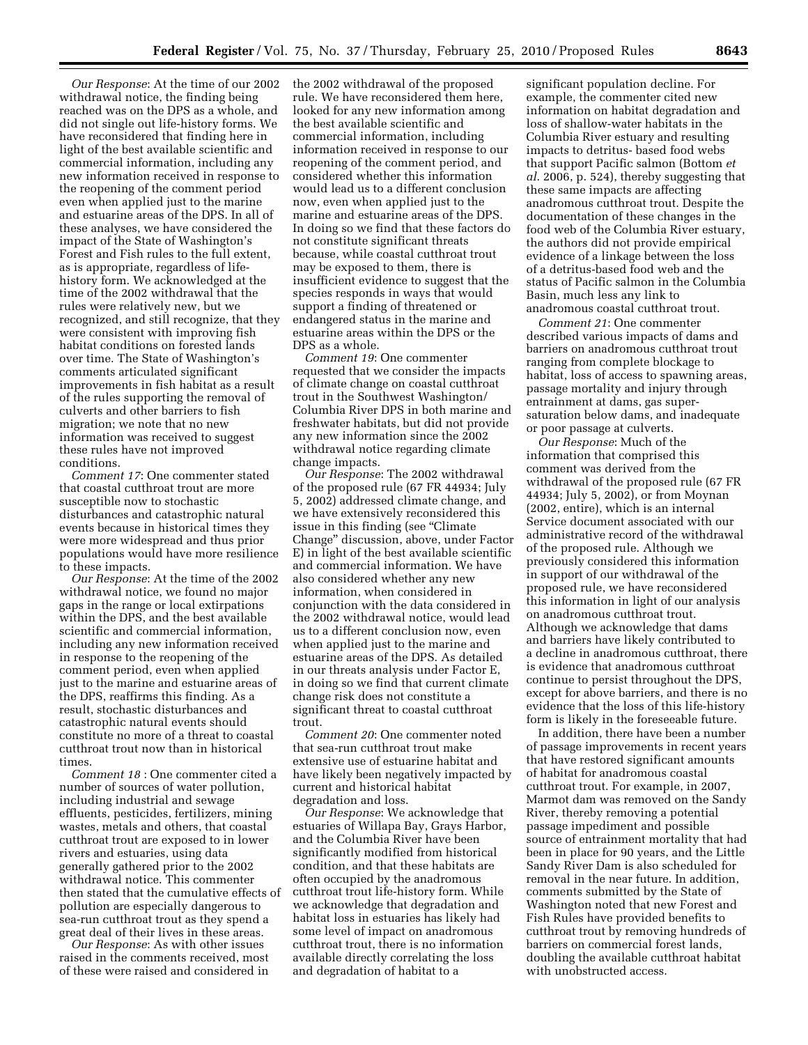*Our Response*: At the time of our 2002 withdrawal notice, the finding being reached was on the DPS as a whole, and did not single out life-history forms. We have reconsidered that finding here in light of the best available scientific and commercial information, including any new information received in response to the reopening of the comment period even when applied just to the marine and estuarine areas of the DPS. In all of these analyses, we have considered the impact of the State of Washington's Forest and Fish rules to the full extent, as is appropriate, regardless of lifehistory form. We acknowledged at the time of the 2002 withdrawal that the rules were relatively new, but we recognized, and still recognize, that they were consistent with improving fish habitat conditions on forested lands over time. The State of Washington's comments articulated significant improvements in fish habitat as a result of the rules supporting the removal of culverts and other barriers to fish migration; we note that no new information was received to suggest these rules have not improved conditions.

*Comment 17*: One commenter stated that coastal cutthroat trout are more susceptible now to stochastic disturbances and catastrophic natural events because in historical times they were more widespread and thus prior populations would have more resilience to these impacts.

*Our Response*: At the time of the 2002 withdrawal notice, we found no major gaps in the range or local extirpations within the DPS, and the best available scientific and commercial information, including any new information received in response to the reopening of the comment period, even when applied just to the marine and estuarine areas of the DPS, reaffirms this finding. As a result, stochastic disturbances and catastrophic natural events should constitute no more of a threat to coastal cutthroat trout now than in historical times.

*Comment 18* : One commenter cited a number of sources of water pollution, including industrial and sewage effluents, pesticides, fertilizers, mining wastes, metals and others, that coastal cutthroat trout are exposed to in lower rivers and estuaries, using data generally gathered prior to the 2002 withdrawal notice. This commenter then stated that the cumulative effects of pollution are especially dangerous to sea-run cutthroat trout as they spend a great deal of their lives in these areas.

*Our Response*: As with other issues raised in the comments received, most of these were raised and considered in the 2002 withdrawal of the proposed rule. We have reconsidered them here, looked for any new information among the best available scientific and commercial information, including information received in response to our reopening of the comment period, and considered whether this information would lead us to a different conclusion now, even when applied just to the marine and estuarine areas of the DPS. In doing so we find that these factors do not constitute significant threats because, while coastal cutthroat trout may be exposed to them, there is insufficient evidence to suggest that the species responds in ways that would support a finding of threatened or endangered status in the marine and estuarine areas within the DPS or the DPS as a whole.

*Comment 19*: One commenter requested that we consider the impacts of climate change on coastal cutthroat trout in the Southwest Washington/ Columbia River DPS in both marine and freshwater habitats, but did not provide any new information since the 2002 withdrawal notice regarding climate change impacts.

*Our Response*: The 2002 withdrawal of the proposed rule (67 FR 44934; July 5, 2002) addressed climate change, and we have extensively reconsidered this issue in this finding (see "Climate Change'' discussion, above, under Factor E) in light of the best available scientific and commercial information. We have also considered whether any new information, when considered in conjunction with the data considered in the 2002 withdrawal notice, would lead us to a different conclusion now, even when applied just to the marine and estuarine areas of the DPS. As detailed in our threats analysis under Factor E, in doing so we find that current climate change risk does not constitute a significant threat to coastal cutthroat trout.

*Comment 20*: One commenter noted that sea-run cutthroat trout make extensive use of estuarine habitat and have likely been negatively impacted by current and historical habitat degradation and loss.

*Our Response*: We acknowledge that estuaries of Willapa Bay, Grays Harbor, and the Columbia River have been significantly modified from historical condition, and that these habitats are often occupied by the anadromous cutthroat trout life-history form. While we acknowledge that degradation and habitat loss in estuaries has likely had some level of impact on anadromous cutthroat trout, there is no information available directly correlating the loss and degradation of habitat to a

significant population decline. For example, the commenter cited new information on habitat degradation and loss of shallow-water habitats in the Columbia River estuary and resulting impacts to detritus- based food webs that support Pacific salmon (Bottom *et al*. 2006, p. 524), thereby suggesting that these same impacts are affecting anadromous cutthroat trout. Despite the documentation of these changes in the food web of the Columbia River estuary, the authors did not provide empirical evidence of a linkage between the loss of a detritus-based food web and the status of Pacific salmon in the Columbia Basin, much less any link to anadromous coastal cutthroat trout.

*Comment 21*: One commenter described various impacts of dams and barriers on anadromous cutthroat trout ranging from complete blockage to habitat, loss of access to spawning areas, passage mortality and injury through entrainment at dams, gas supersaturation below dams, and inadequate or poor passage at culverts.

*Our Response*: Much of the information that comprised this comment was derived from the withdrawal of the proposed rule (67 FR 44934; July 5, 2002), or from Moynan (2002, entire), which is an internal Service document associated with our administrative record of the withdrawal of the proposed rule. Although we previously considered this information in support of our withdrawal of the proposed rule, we have reconsidered this information in light of our analysis on anadromous cutthroat trout. Although we acknowledge that dams and barriers have likely contributed to a decline in anadromous cutthroat, there is evidence that anadromous cutthroat continue to persist throughout the DPS, except for above barriers, and there is no evidence that the loss of this life-history form is likely in the foreseeable future.

In addition, there have been a number of passage improvements in recent years that have restored significant amounts of habitat for anadromous coastal cutthroat trout. For example, in 2007, Marmot dam was removed on the Sandy River, thereby removing a potential passage impediment and possible source of entrainment mortality that had been in place for 90 years, and the Little Sandy River Dam is also scheduled for removal in the near future. In addition, comments submitted by the State of Washington noted that new Forest and Fish Rules have provided benefits to cutthroat trout by removing hundreds of barriers on commercial forest lands, doubling the available cutthroat habitat with unobstructed access.